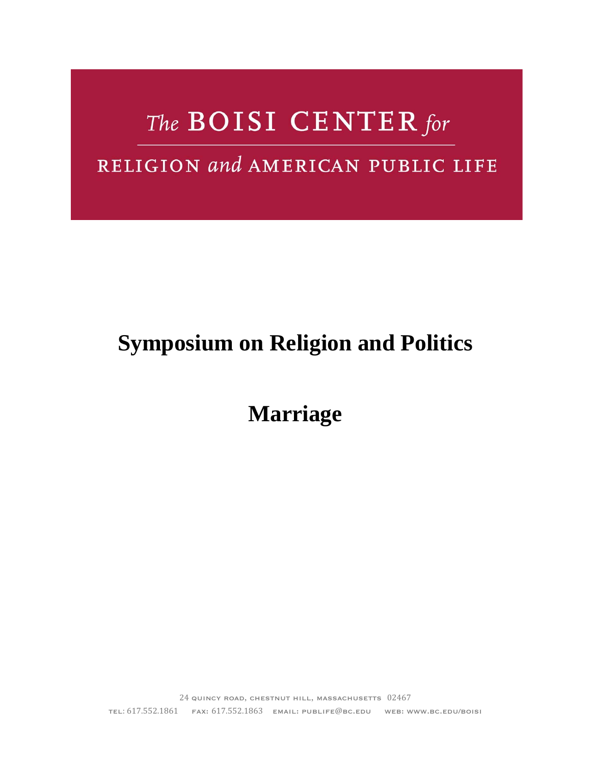# The BOISI CENTER for

## RELIGION and AMERICAN PUBLIC LIFE

## **Symposium on Religion and Politics**

**Marriage**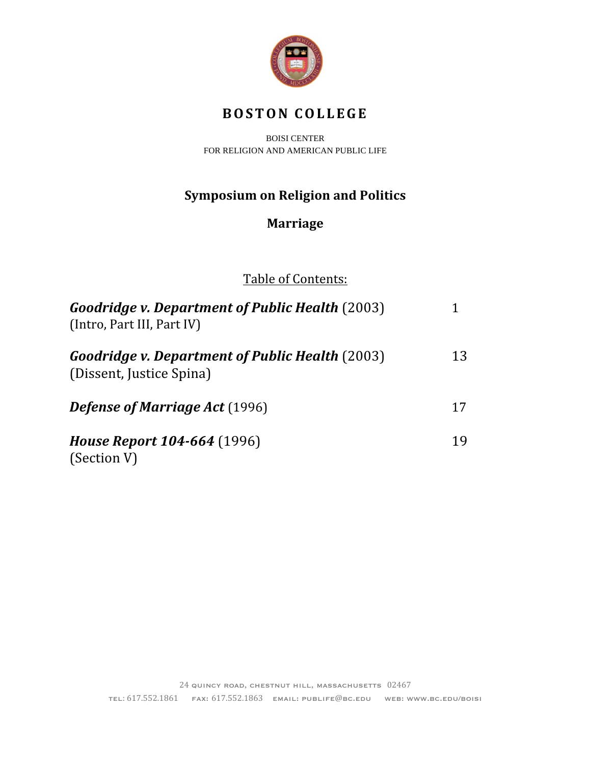

## **BOSTON COLLEGE**

BOISI CENTER FOR RELIGION AND AMERICAN PUBLIC LIFE

### **Symposium on Religion and Politics**

### **Marriage**

Table of Contents:

| <b>Goodridge v. Department of Public Health (2003)</b><br>(Intro, Part III, Part IV) |    |
|--------------------------------------------------------------------------------------|----|
| <b>Goodridge v. Department of Public Health (2003)</b><br>(Dissent, Justice Spina)   | 13 |
| <b>Defense of Marriage Act</b> (1996)                                                | 17 |
| <b>House Report 104-664</b> (1996)<br>(Section V)                                    | 19 |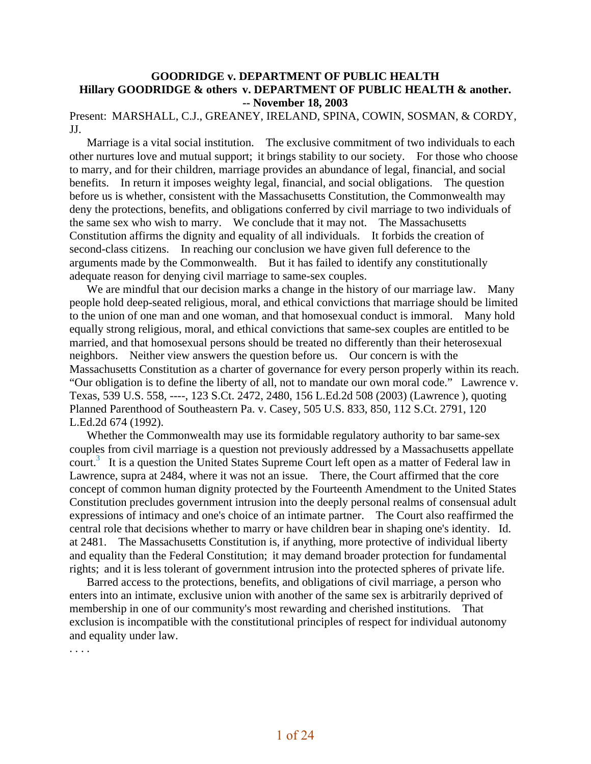#### **GOODRIDGE v. DEPARTMENT OF PUBLIC HEALTH Hillary GOODRIDGE & others v. DEPARTMENT OF PUBLIC HEALTH & another. -- November 18, 2003**

Present: MARSHALL, C.J., GREANEY, IRELAND, SPINA, COWIN, SOSMAN, & CORDY, JJ.

Marriage is a vital social institution. The exclusive commitment of two individuals to each other nurtures love and mutual support; it brings stability to our society. For those who choose to marry, and for their children, marriage provides an abundance of legal, financial, and social benefits. In return it imposes weighty legal, financial, and social obligations. The question before us is whether, consistent with the Massachusetts Constitution, the Commonwealth may deny the protections, benefits, and obligations conferred by civil marriage to two individuals of the same sex who wish to marry. We conclude that it may not. The Massachusetts Constitution affirms the dignity and equality of all individuals. It forbids the creation of second-class citizens. In reaching our conclusion we have given full deference to the arguments made by the Commonwealth. But it has failed to identify any constitutionally adequate reason for denying civil marriage to same-sex couples.

We are mindful that our decision marks a change in the history of our marriage law. Many people hold deep-seated religious, moral, and ethical convictions that marriage should be limited to the union of one man and one woman, and that homosexual conduct is immoral. Many hold equally strong religious, moral, and ethical convictions that same-sex couples are entitled to be married, and that homosexual persons should be treated no differently than their heterosexual neighbors. Neither view answers the question before us. Our concern is with the Massachusetts Constitution as a charter of governance for every person properly within its reach. "Our obligation is to define the liberty of all, not to mandate our own moral code." Lawrence v. Texas, 539 U.S. 558, ----, 123 S.Ct. 2472, 2480, 156 L.Ed.2d 508 (2003) (Lawrence ), quoting Planned Parenthood of Southeastern Pa. v. Casey, 505 U.S. 833, 850, 112 S.Ct. 2791, 120 L.Ed.2d 674 (1992).

Whether the Commonwealth may use its formidable regulatory authority to bar same-sex couples from civil marriage is a question not previously addressed by a Massachusetts appellate court.<sup>3</sup> It is a question the United States Supreme Court left open as a matter of Federal law in Lawrence, supra at 2484, where it was not an issue. There, the Court affirmed that the core concept of common human dignity protected by the Fourteenth Amendment to the United States Constitution precludes government intrusion into the deeply personal realms of consensual adult expressions of intimacy and one's choice of an intimate partner. The Court also reaffirmed the central role that decisions whether to marry or have children bear in shaping one's identity. Id. at 2481. The Massachusetts Constitution is, if anything, more protective of individual liberty and equality than the Federal Constitution; it may demand broader protection for fundamental rights; and it is less tolerant of government intrusion into the protected spheres of private life.

Barred access to the protections, benefits, and obligations of civil marriage, a person who enters into an intimate, exclusive union with another of the same sex is arbitrarily deprived of membership in one of our community's most rewarding and cherished institutions. That exclusion is incompatible with the constitutional principles of respect for individual autonomy and equality under law.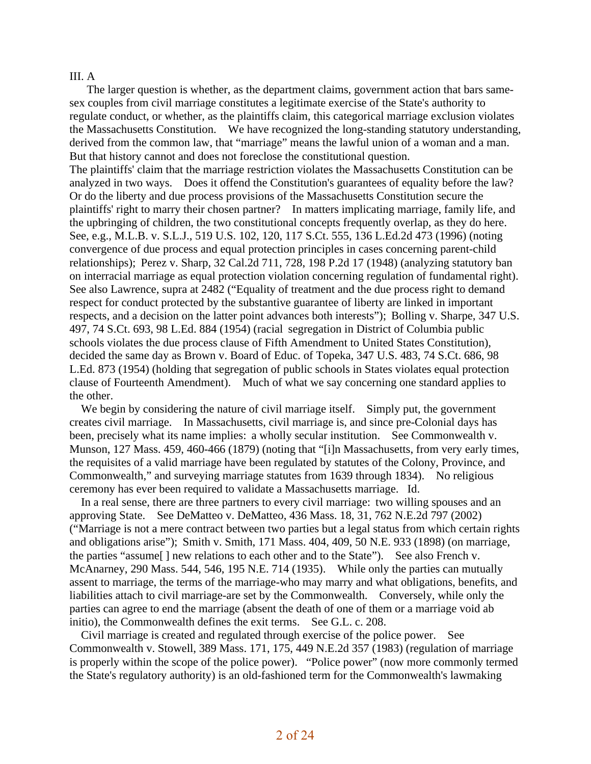#### III. A

The larger question is whether, as the department claims, government action that bars samesex couples from civil marriage constitutes a legitimate exercise of the State's authority to regulate conduct, or whether, as the plaintiffs claim, this categorical marriage exclusion violates the Massachusetts Constitution. We have recognized the long-standing statutory understanding, derived from the common law, that "marriage" means the lawful union of a woman and a man. But that history cannot and does not foreclose the constitutional question. The plaintiffs' claim that the marriage restriction violates the Massachusetts Constitution can be analyzed in two ways. Does it offend the Constitution's guarantees of equality before the law? Or do the liberty and due process provisions of the Massachusetts Constitution secure the plaintiffs' right to marry their chosen partner? In matters implicating marriage, family life, and the upbringing of children, the two constitutional concepts frequently overlap, as they do here. See, e.g., M.L.B. v. S.L.J., 519 U.S. 102, 120, 117 S.Ct. 555, 136 L.Ed.2d 473 (1996) (noting convergence of due process and equal protection principles in cases concerning parent-child relationships); Perez v. Sharp, 32 Cal.2d 711, 728, 198 P.2d 17 (1948) (analyzing statutory ban on interracial marriage as equal protection violation concerning regulation of fundamental right). See also Lawrence, supra at 2482 ("Equality of treatment and the due process right to demand respect for conduct protected by the substantive guarantee of liberty are linked in important respects, and a decision on the latter point advances both interests"); Bolling v. Sharpe, 347 U.S. 497, 74 S.Ct. 693, 98 L.Ed. 884 (1954) (racial segregation in District of Columbia public schools violates the due process clause of Fifth Amendment to United States Constitution), decided the same day as Brown v. Board of Educ. of Topeka, 347 U.S. 483, 74 S.Ct. 686, 98 L.Ed. 873 (1954) (holding that segregation of public schools in States violates equal protection clause of Fourteenth Amendment). Much of what we say concerning one standard applies to the other.

We begin by considering the nature of civil marriage itself. Simply put, the government creates civil marriage. In Massachusetts, civil marriage is, and since pre-Colonial days has been, precisely what its name implies: a wholly secular institution. See Commonwealth v. Munson, 127 Mass. 459, 460-466 (1879) (noting that "[i]n Massachusetts, from very early times, the requisites of a valid marriage have been regulated by statutes of the Colony, Province, and Commonwealth," and surveying marriage statutes from 1639 through 1834). No religious ceremony has ever been required to validate a Massachusetts marriage. Id.

 In a real sense, there are three partners to every civil marriage: two willing spouses and an approving State. See DeMatteo v. DeMatteo, 436 Mass. 18, 31, 762 N.E.2d 797 (2002) ("Marriage is not a mere contract between two parties but a legal status from which certain rights and obligations arise"); Smith v. Smith, 171 Mass. 404, 409, 50 N.E. 933 (1898) (on marriage, the parties "assume[ ] new relations to each other and to the State"). See also French v. McAnarney, 290 Mass. 544, 546, 195 N.E. 714 (1935). While only the parties can mutually assent to marriage, the terms of the marriage-who may marry and what obligations, benefits, and liabilities attach to civil marriage-are set by the Commonwealth. Conversely, while only the parties can agree to end the marriage (absent the death of one of them or a marriage void ab initio), the Commonwealth defines the exit terms. See G.L. c. 208.

 Civil marriage is created and regulated through exercise of the police power. See Commonwealth v. Stowell, 389 Mass. 171, 175, 449 N.E.2d 357 (1983) (regulation of marriage is properly within the scope of the police power). "Police power" (now more commonly termed the State's regulatory authority) is an old-fashioned term for the Commonwealth's lawmaking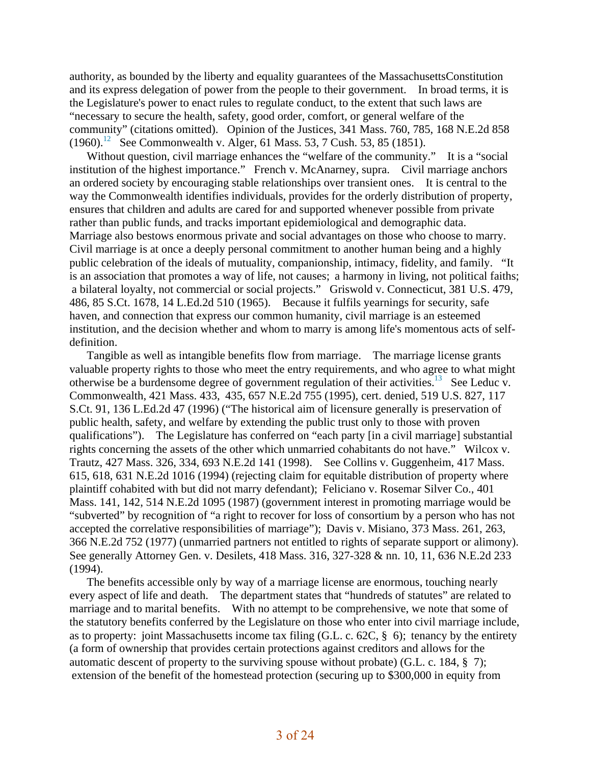authority, as bounded by the liberty and equality guarantees of the MassachusettsConstitution and its express delegation of power from the people to their government. In broad terms, it is the Legislature's power to enact rules to regulate conduct, to the extent that such laws are "necessary to secure the health, safety, good order, comfort, or general welfare of the community" (citations omitted). Opinion of the Justices, 341 Mass. 760, 785, 168 N.E.2d 858 (1960).12 See Commonwealth v. Alger, 61 Mass. 53, 7 Cush. 53, 85 (1851).

Without question, civil marriage enhances the "welfare of the community." It is a "social institution of the highest importance." French v. McAnarney, supra. Civil marriage anchors an ordered society by encouraging stable relationships over transient ones. It is central to the way the Commonwealth identifies individuals, provides for the orderly distribution of property, ensures that children and adults are cared for and supported whenever possible from private rather than public funds, and tracks important epidemiological and demographic data. Marriage also bestows enormous private and social advantages on those who choose to marry. Civil marriage is at once a deeply personal commitment to another human being and a highly public celebration of the ideals of mutuality, companionship, intimacy, fidelity, and family. "It is an association that promotes a way of life, not causes; a harmony in living, not political faiths; a bilateral loyalty, not commercial or social projects." Griswold v. Connecticut, 381 U.S. 479, 486, 85 S.Ct. 1678, 14 L.Ed.2d 510 (1965). Because it fulfils yearnings for security, safe haven, and connection that express our common humanity, civil marriage is an esteemed institution, and the decision whether and whom to marry is among life's momentous acts of selfdefinition.

Tangible as well as intangible benefits flow from marriage. The marriage license grants valuable property rights to those who meet the entry requirements, and who agree to what might otherwise be a burdensome degree of government regulation of their activities.<sup>13</sup> See Leduc v. Commonwealth, 421 Mass. 433, 435, 657 N.E.2d 755 (1995), cert. denied, 519 U.S. 827, 117 S.Ct. 91, 136 L.Ed.2d 47 (1996) ("The historical aim of licensure generally is preservation of public health, safety, and welfare by extending the public trust only to those with proven qualifications"). The Legislature has conferred on "each party [in a civil marriage] substantial rights concerning the assets of the other which unmarried cohabitants do not have." Wilcox v. Trautz, 427 Mass. 326, 334, 693 N.E.2d 141 (1998). See Collins v. Guggenheim, 417 Mass. 615, 618, 631 N.E.2d 1016 (1994) (rejecting claim for equitable distribution of property where plaintiff cohabited with but did not marry defendant); Feliciano v. Rosemar Silver Co., 401 Mass. 141, 142, 514 N.E.2d 1095 (1987) (government interest in promoting marriage would be "subverted" by recognition of "a right to recover for loss of consortium by a person who has not accepted the correlative responsibilities of marriage"); Davis v. Misiano, 373 Mass. 261, 263, 366 N.E.2d 752 (1977) (unmarried partners not entitled to rights of separate support or alimony). See generally Attorney Gen. v. Desilets, 418 Mass. 316, 327-328 & nn. 10, 11, 636 N.E.2d 233 (1994).

The benefits accessible only by way of a marriage license are enormous, touching nearly every aspect of life and death. The department states that "hundreds of statutes" are related to marriage and to marital benefits. With no attempt to be comprehensive, we note that some of the statutory benefits conferred by the Legislature on those who enter into civil marriage include, as to property: joint Massachusetts income tax filing (G.L. c. 62C, § 6); tenancy by the entirety (a form of ownership that provides certain protections against creditors and allows for the automatic descent of property to the surviving spouse without probate) (G.L. c. 184, § 7); extension of the benefit of the homestead protection (securing up to \$300,000 in equity from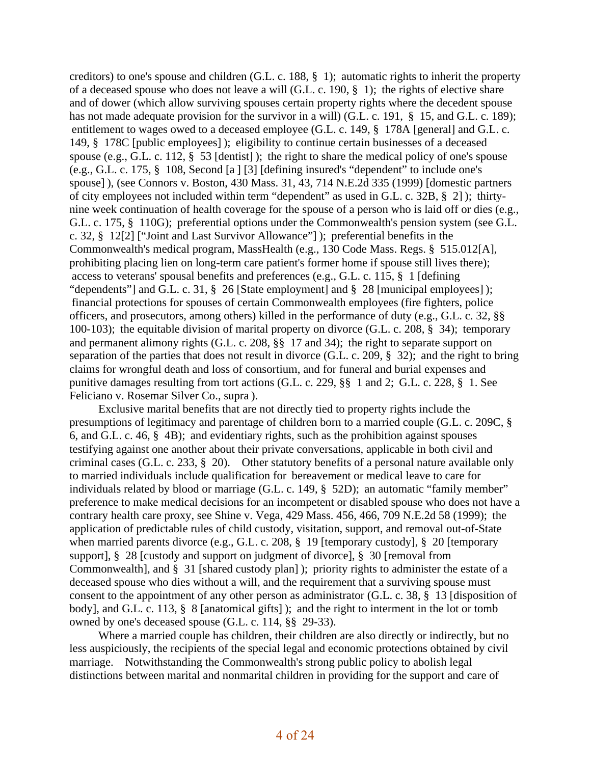creditors) to one's spouse and children (G.L. c. 188, § 1); automatic rights to inherit the property of a deceased spouse who does not leave a will (G.L. c. 190, § 1); the rights of elective share and of dower (which allow surviving spouses certain property rights where the decedent spouse has not made adequate provision for the survivor in a will) (G.L. c. 191, § 15, and G.L. c. 189); entitlement to wages owed to a deceased employee (G.L. c. 149, § 178A [general] and G.L. c. 149, § 178C [public employees] ); eligibility to continue certain businesses of a deceased spouse (e.g., G.L. c. 112, § 53 [dentist] ); the right to share the medical policy of one's spouse (e.g., G.L. c. 175, § 108, Second [a ] [3] [defining insured's "dependent" to include one's spouse] ), (see Connors v. Boston, 430 Mass. 31, 43, 714 N.E.2d 335 (1999) [domestic partners of city employees not included within term "dependent" as used in G.L. c. 32B, § 2] ); thirtynine week continuation of health coverage for the spouse of a person who is laid off or dies (e.g., G.L. c. 175, § 110G); preferential options under the Commonwealth's pension system (see G.L. c. 32, § 12[2] ["Joint and Last Survivor Allowance"] ); preferential benefits in the Commonwealth's medical program, MassHealth (e.g., 130 Code Mass. Regs. § 515.012[A], prohibiting placing lien on long-term care patient's former home if spouse still lives there); access to veterans' spousal benefits and preferences (e.g., G.L. c. 115, § 1 [defining "dependents"] and G.L. c. 31, § 26 [State employment] and § 28 [municipal employees] ); financial protections for spouses of certain Commonwealth employees (fire fighters, police officers, and prosecutors, among others) killed in the performance of duty (e.g., G.L. c. 32, §§ 100-103); the equitable division of marital property on divorce (G.L. c. 208, § 34); temporary and permanent alimony rights (G.L. c. 208, §§ 17 and 34); the right to separate support on separation of the parties that does not result in divorce (G.L. c. 209, § 32); and the right to bring claims for wrongful death and loss of consortium, and for funeral and burial expenses and punitive damages resulting from tort actions (G.L. c. 229, §§ 1 and 2; G.L. c. 228, § 1. See Feliciano v. Rosemar Silver Co., supra ).

 Exclusive marital benefits that are not directly tied to property rights include the presumptions of legitimacy and parentage of children born to a married couple (G.L. c. 209C, § 6, and G.L. c. 46, § 4B); and evidentiary rights, such as the prohibition against spouses testifying against one another about their private conversations, applicable in both civil and criminal cases (G.L. c. 233, § 20). Other statutory benefits of a personal nature available only to married individuals include qualification for bereavement or medical leave to care for individuals related by blood or marriage (G.L. c. 149, § 52D); an automatic "family member" preference to make medical decisions for an incompetent or disabled spouse who does not have a contrary health care proxy, see Shine v. Vega, 429 Mass. 456, 466, 709 N.E.2d 58 (1999); the application of predictable rules of child custody, visitation, support, and removal out-of-State when married parents divorce (e.g., G.L. c. 208, § 19 [temporary custody], § 20 [temporary support], § 28 [custody and support on judgment of divorce], § 30 [removal from Commonwealth], and § 31 [shared custody plan] ); priority rights to administer the estate of a deceased spouse who dies without a will, and the requirement that a surviving spouse must consent to the appointment of any other person as administrator (G.L. c. 38, § 13 [disposition of body], and G.L. c. 113, § 8 [anatomical gifts] ); and the right to interment in the lot or tomb owned by one's deceased spouse (G.L. c. 114, §§ 29-33).

Where a married couple has children, their children are also directly or indirectly, but no less auspiciously, the recipients of the special legal and economic protections obtained by civil marriage. Notwithstanding the Commonwealth's strong public policy to abolish legal distinctions between marital and nonmarital children in providing for the support and care of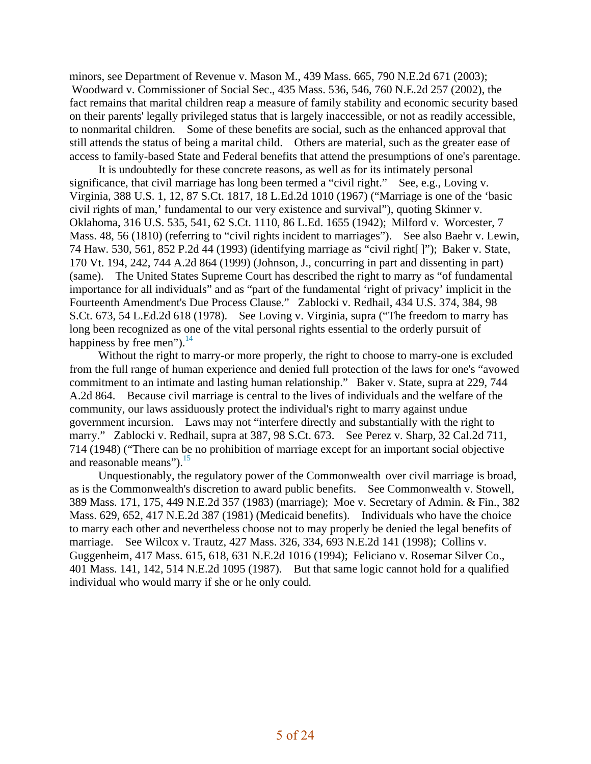minors, see Department of Revenue v. Mason M., 439 Mass. 665, 790 N.E.2d 671 (2003); Woodward v. Commissioner of Social Sec., 435 Mass. 536, 546, 760 N.E.2d 257 (2002), the fact remains that marital children reap a measure of family stability and economic security based on their parents' legally privileged status that is largely inaccessible, or not as readily accessible, to nonmarital children. Some of these benefits are social, such as the enhanced approval that still attends the status of being a marital child. Others are material, such as the greater ease of access to family-based State and Federal benefits that attend the presumptions of one's parentage.

 It is undoubtedly for these concrete reasons, as well as for its intimately personal significance, that civil marriage has long been termed a "civil right." See, e.g., Loving v. Virginia, 388 U.S. 1, 12, 87 S.Ct. 1817, 18 L.Ed.2d 1010 (1967) ("Marriage is one of the 'basic civil rights of man,' fundamental to our very existence and survival"), quoting Skinner v. Oklahoma, 316 U.S. 535, 541, 62 S.Ct. 1110, 86 L.Ed. 1655 (1942); Milford v. Worcester, 7 Mass. 48, 56 (1810) (referring to "civil rights incident to marriages"). See also Baehr v. Lewin, 74 Haw. 530, 561, 852 P.2d 44 (1993) (identifying marriage as "civil right[ ]"); Baker v. State, 170 Vt. 194, 242, 744 A.2d 864 (1999) (Johnson, J., concurring in part and dissenting in part) (same). The United States Supreme Court has described the right to marry as "of fundamental importance for all individuals" and as "part of the fundamental 'right of privacy' implicit in the Fourteenth Amendment's Due Process Clause." Zablocki v. Redhail, 434 U.S. 374, 384, 98 S.Ct. 673, 54 L.Ed.2d 618 (1978). See Loving v. Virginia, supra ("The freedom to marry has long been recognized as one of the vital personal rights essential to the orderly pursuit of happiness by free men"). $^{14}$ 

 Without the right to marry-or more properly, the right to choose to marry-one is excluded from the full range of human experience and denied full protection of the laws for one's "avowed commitment to an intimate and lasting human relationship." Baker v. State, supra at 229, 744 A.2d 864. Because civil marriage is central to the lives of individuals and the welfare of the community, our laws assiduously protect the individual's right to marry against undue government incursion. Laws may not "interfere directly and substantially with the right to marry." Zablocki v. Redhail, supra at 387, 98 S.Ct. 673. See Perez v. Sharp, 32 Cal.2d 711, 714 (1948) ("There can be no prohibition of marriage except for an important social objective and reasonable means"). $15$ 

 Unquestionably, the regulatory power of the Commonwealth over civil marriage is broad, as is the Commonwealth's discretion to award public benefits. See Commonwealth v. Stowell, 389 Mass. 171, 175, 449 N.E.2d 357 (1983) (marriage); Moe v. Secretary of Admin. & Fin., 382 Mass. 629, 652, 417 N.E.2d 387 (1981) (Medicaid benefits). Individuals who have the choice to marry each other and nevertheless choose not to may properly be denied the legal benefits of marriage. See Wilcox v. Trautz, 427 Mass. 326, 334, 693 N.E.2d 141 (1998); Collins v. Guggenheim, 417 Mass. 615, 618, 631 N.E.2d 1016 (1994); Feliciano v. Rosemar Silver Co., 401 Mass. 141, 142, 514 N.E.2d 1095 (1987). But that same logic cannot hold for a qualified individual who would marry if she or he only could.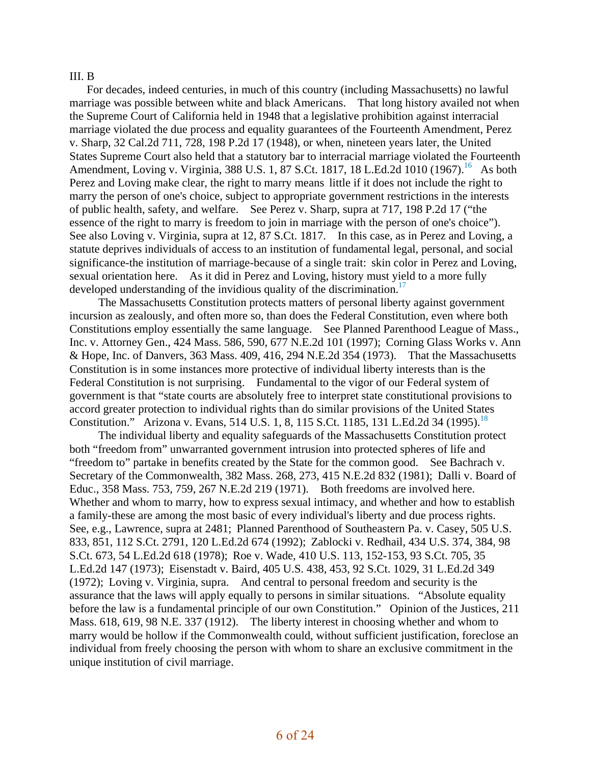#### III. B

For decades, indeed centuries, in much of this country (including Massachusetts) no lawful marriage was possible between white and black Americans. That long history availed not when the Supreme Court of California held in 1948 that a legislative prohibition against interracial marriage violated the due process and equality guarantees of the Fourteenth Amendment, Perez v. Sharp, 32 Cal.2d 711, 728, 198 P.2d 17 (1948), or when, nineteen years later, the United States Supreme Court also held that a statutory bar to interracial marriage violated the Fourteenth Amendment, Loving v. Virginia, 388 U.S. 1, 87 S.Ct. 1817, 18 L.Ed.2d 1010 (1967).<sup>16</sup> As both Perez and Loving make clear, the right to marry means little if it does not include the right to marry the person of one's choice, subject to appropriate government restrictions in the interests of public health, safety, and welfare. See Perez v. Sharp, supra at 717, 198 P.2d 17 ("the essence of the right to marry is freedom to join in marriage with the person of one's choice"). See also Loving v. Virginia, supra at 12, 87 S.Ct. 1817. In this case, as in Perez and Loving, a statute deprives individuals of access to an institution of fundamental legal, personal, and social significance-the institution of marriage-because of a single trait: skin color in Perez and Loving, sexual orientation here. As it did in Perez and Loving, history must yield to a more fully developed understanding of the invidious quality of the discrimination.<sup>17</sup>

 The Massachusetts Constitution protects matters of personal liberty against government incursion as zealously, and often more so, than does the Federal Constitution, even where both Constitutions employ essentially the same language. See Planned Parenthood League of Mass., Inc. v. Attorney Gen., 424 Mass. 586, 590, 677 N.E.2d 101 (1997); Corning Glass Works v. Ann & Hope, Inc. of Danvers, 363 Mass. 409, 416, 294 N.E.2d 354 (1973). That the Massachusetts Constitution is in some instances more protective of individual liberty interests than is the Federal Constitution is not surprising. Fundamental to the vigor of our Federal system of government is that "state courts are absolutely free to interpret state constitutional provisions to accord greater protection to individual rights than do similar provisions of the United States Constitution." Arizona v. Evans, 514 U.S. 1, 8, 115 S.Ct. 1185, 131 L.Ed.2d 34 (1995).<sup>18</sup>

 The individual liberty and equality safeguards of the Massachusetts Constitution protect both "freedom from" unwarranted government intrusion into protected spheres of life and "freedom to" partake in benefits created by the State for the common good. See Bachrach v. Secretary of the Commonwealth, 382 Mass. 268, 273, 415 N.E.2d 832 (1981); Dalli v. Board of Educ., 358 Mass. 753, 759, 267 N.E.2d 219 (1971). Both freedoms are involved here. Whether and whom to marry, how to express sexual intimacy, and whether and how to establish a family-these are among the most basic of every individual's liberty and due process rights. See, e.g., Lawrence, supra at 2481; Planned Parenthood of Southeastern Pa. v. Casey, 505 U.S. 833, 851, 112 S.Ct. 2791, 120 L.Ed.2d 674 (1992); Zablocki v. Redhail, 434 U.S. 374, 384, 98 S.Ct. 673, 54 L.Ed.2d 618 (1978); Roe v. Wade, 410 U.S. 113, 152-153, 93 S.Ct. 705, 35 L.Ed.2d 147 (1973); Eisenstadt v. Baird, 405 U.S. 438, 453, 92 S.Ct. 1029, 31 L.Ed.2d 349 (1972); Loving v. Virginia, supra. And central to personal freedom and security is the assurance that the laws will apply equally to persons in similar situations. "Absolute equality before the law is a fundamental principle of our own Constitution." Opinion of the Justices, 211 Mass. 618, 619, 98 N.E. 337 (1912). The liberty interest in choosing whether and whom to marry would be hollow if the Commonwealth could, without sufficient justification, foreclose an individual from freely choosing the person with whom to share an exclusive commitment in the unique institution of civil marriage.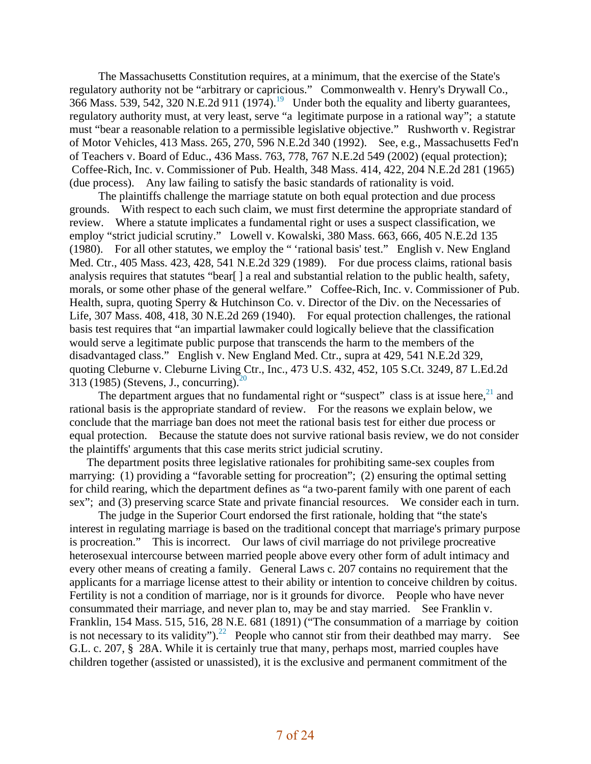The Massachusetts Constitution requires, at a minimum, that the exercise of the State's regulatory authority not be "arbitrary or capricious." Commonwealth v. Henry's Drywall Co., 366 Mass. 539, 542, 320 N.E.2d 911 (1974).<sup>19</sup> Under both the equality and liberty guarantees, regulatory authority must, at very least, serve "a legitimate purpose in a rational way"; a statute must "bear a reasonable relation to a permissible legislative objective." Rushworth v. Registrar of Motor Vehicles, 413 Mass. 265, 270, 596 N.E.2d 340 (1992). See, e.g., Massachusetts Fed'n of Teachers v. Board of Educ., 436 Mass. 763, 778, 767 N.E.2d 549 (2002) (equal protection); Coffee-Rich, Inc. v. Commissioner of Pub. Health, 348 Mass. 414, 422, 204 N.E.2d 281 (1965) (due process). Any law failing to satisfy the basic standards of rationality is void.

 The plaintiffs challenge the marriage statute on both equal protection and due process grounds. With respect to each such claim, we must first determine the appropriate standard of review. Where a statute implicates a fundamental right or uses a suspect classification, we employ "strict judicial scrutiny." Lowell v. Kowalski, 380 Mass. 663, 666, 405 N.E.2d 135 (1980). For all other statutes, we employ the " 'rational basis' test." English v. New England Med. Ctr., 405 Mass. 423, 428, 541 N.E.2d 329 (1989). For due process claims, rational basis analysis requires that statutes "bear[ ] a real and substantial relation to the public health, safety, morals, or some other phase of the general welfare." Coffee-Rich, Inc. v. Commissioner of Pub. Health, supra, quoting Sperry & Hutchinson Co. v. Director of the Div. on the Necessaries of Life, 307 Mass. 408, 418, 30 N.E.2d 269 (1940). For equal protection challenges, the rational basis test requires that "an impartial lawmaker could logically believe that the classification would serve a legitimate public purpose that transcends the harm to the members of the disadvantaged class." English v. New England Med. Ctr., supra at 429, 541 N.E.2d 329, quoting Cleburne v. Cleburne Living Ctr., Inc., 473 U.S. 432, 452, 105 S.Ct. 3249, 87 L.Ed.2d 313 (1985) (Stevens, J., concurring).<sup>20</sup>

The department argues that no fundamental right or "suspect" class is at issue here, $21$  and rational basis is the appropriate standard of review. For the reasons we explain below, we conclude that the marriage ban does not meet the rational basis test for either due process or equal protection. Because the statute does not survive rational basis review, we do not consider the plaintiffs' arguments that this case merits strict judicial scrutiny.

The department posits three legislative rationales for prohibiting same-sex couples from marrying: (1) providing a "favorable setting for procreation"; (2) ensuring the optimal setting for child rearing, which the department defines as "a two-parent family with one parent of each sex"; and (3) preserving scarce State and private financial resources. We consider each in turn.

 The judge in the Superior Court endorsed the first rationale, holding that "the state's interest in regulating marriage is based on the traditional concept that marriage's primary purpose is procreation." This is incorrect. Our laws of civil marriage do not privilege procreative heterosexual intercourse between married people above every other form of adult intimacy and every other means of creating a family. General Laws c. 207 contains no requirement that the applicants for a marriage license attest to their ability or intention to conceive children by coitus. Fertility is not a condition of marriage, nor is it grounds for divorce. People who have never consummated their marriage, and never plan to, may be and stay married. See Franklin v. Franklin, 154 Mass. 515, 516, 28 N.E. 681 (1891) ("The consummation of a marriage by coition is not necessary to its validity").<sup>22</sup> People who cannot stir from their deathbed may marry. See G.L. c. 207, § 28A. While it is certainly true that many, perhaps most, married couples have children together (assisted or unassisted), it is the exclusive and permanent commitment of the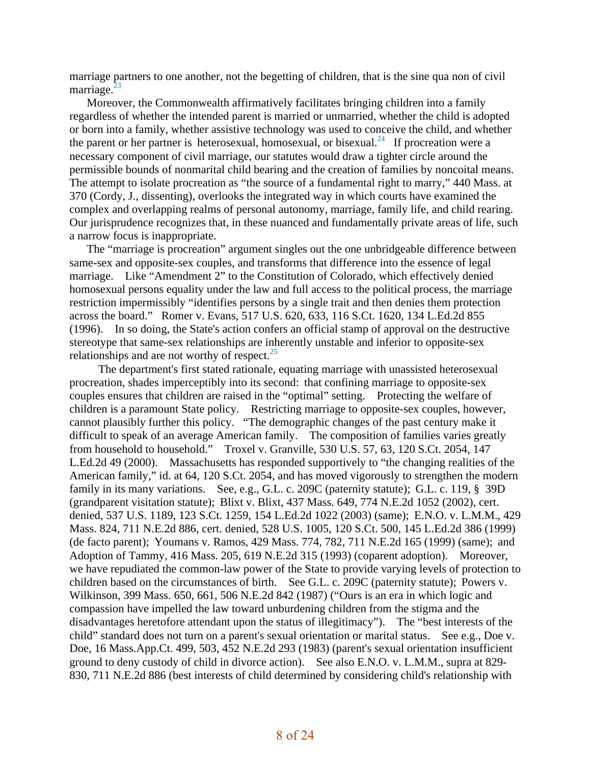marriage partners to one another, not the begetting of children, that is the sine qua non of civil marriage. $^{23}$ 

Moreover, the Commonwealth affirmatively facilitates bringing children into a family regardless of whether the intended parent is married or unmarried, whether the child is adopted or born into a family, whether assistive technology was used to conceive the child, and whether the parent or her partner is heterosexual, homosexual, or bisexual.<sup>24</sup> If procreation were a necessary component of civil marriage, our statutes would draw a tighter circle around the permissible bounds of nonmarital child bearing and the creation of families by noncoital means. The attempt to isolate procreation as "the source of a fundamental right to marry," 440 Mass. at 370 (Cordy, J., dissenting), overlooks the integrated way in which courts have examined the complex and overlapping realms of personal autonomy, marriage, family life, and child rearing. Our jurisprudence recognizes that, in these nuanced and fundamentally private areas of life, such a narrow focus is inappropriate.

The "marriage is procreation" argument singles out the one unbridgeable difference between same-sex and opposite-sex couples, and transforms that difference into the essence of legal marriage. Like "Amendment 2" to the Constitution of Colorado, which effectively denied homosexual persons equality under the law and full access to the political process, the marriage restriction impermissibly "identifies persons by a single trait and then denies them protection across the board." Romer v. Evans, 517 U.S. 620, 633, 116 S.Ct. 1620, 134 L.Ed.2d 855 (1996). In so doing, the State's action confers an official stamp of approval on the destructive stereotype that same-sex relationships are inherently unstable and inferior to opposite-sex relationships and are not worthy of respect. $^{25}$ 

 The department's first stated rationale, equating marriage with unassisted heterosexual procreation, shades imperceptibly into its second: that confining marriage to opposite-sex couples ensures that children are raised in the "optimal" setting. Protecting the welfare of children is a paramount State policy. Restricting marriage to opposite-sex couples, however, cannot plausibly further this policy. "The demographic changes of the past century make it difficult to speak of an average American family. The composition of families varies greatly from household to household." Troxel v. Granville, 530 U.S. 57, 63, 120 S.Ct. 2054, 147 L.Ed.2d 49 (2000). Massachusetts has responded supportively to "the changing realities of the American family," id. at 64, 120 S.Ct. 2054, and has moved vigorously to strengthen the modern family in its many variations. See, e.g., G.L. c. 209C (paternity statute); G.L. c. 119, § 39D (grandparent visitation statute); Blixt v. Blixt, 437 Mass. 649, 774 N.E.2d 1052 (2002), cert. denied, 537 U.S. 1189, 123 S.Ct. 1259, 154 L.Ed.2d 1022 (2003) (same); E.N.O. v. L.M.M., 429 Mass. 824, 711 N.E.2d 886, cert. denied, 528 U.S. 1005, 120 S.Ct. 500, 145 L.Ed.2d 386 (1999) (de facto parent); Youmans v. Ramos, 429 Mass. 774, 782, 711 N.E.2d 165 (1999) (same); and Adoption of Tammy, 416 Mass. 205, 619 N.E.2d 315 (1993) (coparent adoption). Moreover, we have repudiated the common-law power of the State to provide varying levels of protection to children based on the circumstances of birth. See G.L. c. 209C (paternity statute); Powers v. Wilkinson, 399 Mass. 650, 661, 506 N.E.2d 842 (1987) ("Ours is an era in which logic and compassion have impelled the law toward unburdening children from the stigma and the disadvantages heretofore attendant upon the status of illegitimacy"). The "best interests of the child" standard does not turn on a parent's sexual orientation or marital status. See e.g., Doe v. Doe, 16 Mass.App.Ct. 499, 503, 452 N.E.2d 293 (1983) (parent's sexual orientation insufficient ground to deny custody of child in divorce action). See also E.N.O. v. L.M.M., supra at 829- 830, 711 N.E.2d 886 (best interests of child determined by considering child's relationship with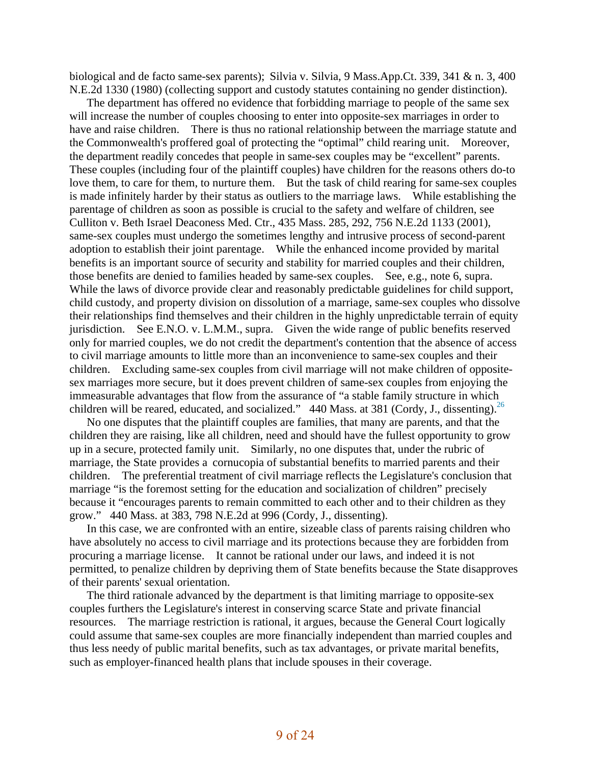biological and de facto same-sex parents); Silvia v. Silvia, 9 Mass.App.Ct. 339, 341 & n. 3, 400 N.E.2d 1330 (1980) (collecting support and custody statutes containing no gender distinction).

The department has offered no evidence that forbidding marriage to people of the same sex will increase the number of couples choosing to enter into opposite-sex marriages in order to have and raise children. There is thus no rational relationship between the marriage statute and the Commonwealth's proffered goal of protecting the "optimal" child rearing unit. Moreover, the department readily concedes that people in same-sex couples may be "excellent" parents. These couples (including four of the plaintiff couples) have children for the reasons others do-to love them, to care for them, to nurture them. But the task of child rearing for same-sex couples is made infinitely harder by their status as outliers to the marriage laws. While establishing the parentage of children as soon as possible is crucial to the safety and welfare of children, see Culliton v. Beth Israel Deaconess Med. Ctr., 435 Mass. 285, 292, 756 N.E.2d 1133 (2001), same-sex couples must undergo the sometimes lengthy and intrusive process of second-parent adoption to establish their joint parentage. While the enhanced income provided by marital benefits is an important source of security and stability for married couples and their children, those benefits are denied to families headed by same-sex couples. See, e.g., note 6, supra. While the laws of divorce provide clear and reasonably predictable guidelines for child support, child custody, and property division on dissolution of a marriage, same-sex couples who dissolve their relationships find themselves and their children in the highly unpredictable terrain of equity jurisdiction. See E.N.O. v. L.M.M., supra. Given the wide range of public benefits reserved only for married couples, we do not credit the department's contention that the absence of access to civil marriage amounts to little more than an inconvenience to same-sex couples and their children. Excluding same-sex couples from civil marriage will not make children of oppositesex marriages more secure, but it does prevent children of same-sex couples from enjoying the immeasurable advantages that flow from the assurance of "a stable family structure in which children will be reared, educated, and socialized." 440 Mass. at 381 (Cordy, J., dissenting).<sup>26</sup>

No one disputes that the plaintiff couples are families, that many are parents, and that the children they are raising, like all children, need and should have the fullest opportunity to grow up in a secure, protected family unit. Similarly, no one disputes that, under the rubric of marriage, the State provides a cornucopia of substantial benefits to married parents and their children. The preferential treatment of civil marriage reflects the Legislature's conclusion that marriage "is the foremost setting for the education and socialization of children" precisely because it "encourages parents to remain committed to each other and to their children as they grow." 440 Mass. at 383, 798 N.E.2d at 996 (Cordy, J., dissenting).

In this case, we are confronted with an entire, sizeable class of parents raising children who have absolutely no access to civil marriage and its protections because they are forbidden from procuring a marriage license. It cannot be rational under our laws, and indeed it is not permitted, to penalize children by depriving them of State benefits because the State disapproves of their parents' sexual orientation.

The third rationale advanced by the department is that limiting marriage to opposite-sex couples furthers the Legislature's interest in conserving scarce State and private financial resources. The marriage restriction is rational, it argues, because the General Court logically could assume that same-sex couples are more financially independent than married couples and thus less needy of public marital benefits, such as tax advantages, or private marital benefits, such as employer-financed health plans that include spouses in their coverage.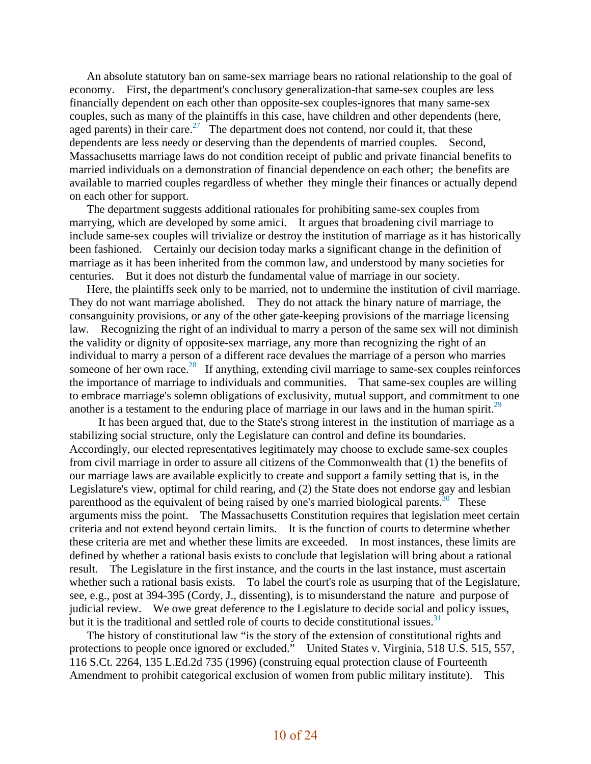An absolute statutory ban on same-sex marriage bears no rational relationship to the goal of economy. First, the department's conclusory generalization-that same-sex couples are less financially dependent on each other than opposite-sex couples-ignores that many same-sex couples, such as many of the plaintiffs in this case, have children and other dependents (here, aged parents) in their care.<sup>27</sup> The department does not contend, nor could it, that these dependents are less needy or deserving than the dependents of married couples. Second, Massachusetts marriage laws do not condition receipt of public and private financial benefits to married individuals on a demonstration of financial dependence on each other; the benefits are available to married couples regardless of whether they mingle their finances or actually depend on each other for support.

The department suggests additional rationales for prohibiting same-sex couples from marrying, which are developed by some amici. It argues that broadening civil marriage to include same-sex couples will trivialize or destroy the institution of marriage as it has historically been fashioned. Certainly our decision today marks a significant change in the definition of marriage as it has been inherited from the common law, and understood by many societies for centuries. But it does not disturb the fundamental value of marriage in our society.

Here, the plaintiffs seek only to be married, not to undermine the institution of civil marriage. They do not want marriage abolished. They do not attack the binary nature of marriage, the consanguinity provisions, or any of the other gate-keeping provisions of the marriage licensing law. Recognizing the right of an individual to marry a person of the same sex will not diminish the validity or dignity of opposite-sex marriage, any more than recognizing the right of an individual to marry a person of a different race devalues the marriage of a person who marries someone of her own race.<sup>28</sup> If anything, extending civil marriage to same-sex couples reinforces the importance of marriage to individuals and communities. That same-sex couples are willing to embrace marriage's solemn obligations of exclusivity, mutual support, and commitment to one another is a testament to the enduring place of marriage in our laws and in the human spirit.<sup>29</sup>

 It has been argued that, due to the State's strong interest in the institution of marriage as a stabilizing social structure, only the Legislature can control and define its boundaries. Accordingly, our elected representatives legitimately may choose to exclude same-sex couples from civil marriage in order to assure all citizens of the Commonwealth that (1) the benefits of our marriage laws are available explicitly to create and support a family setting that is, in the Legislature's view, optimal for child rearing, and (2) the State does not endorse gay and lesbian parenthood as the equivalent of being raised by one's married biological parents.<sup>30</sup> These arguments miss the point. The Massachusetts Constitution requires that legislation meet certain criteria and not extend beyond certain limits. It is the function of courts to determine whether these criteria are met and whether these limits are exceeded. In most instances, these limits are defined by whether a rational basis exists to conclude that legislation will bring about a rational result. The Legislature in the first instance, and the courts in the last instance, must ascertain whether such a rational basis exists. To label the court's role as usurping that of the Legislature, see, e.g., post at 394-395 (Cordy, J., dissenting), is to misunderstand the nature and purpose of judicial review. We owe great deference to the Legislature to decide social and policy issues, but it is the traditional and settled role of courts to decide constitutional issues.<sup>31</sup>

The history of constitutional law "is the story of the extension of constitutional rights and protections to people once ignored or excluded." United States v. Virginia, 518 U.S. 515, 557, 116 S.Ct. 2264, 135 L.Ed.2d 735 (1996) (construing equal protection clause of Fourteenth Amendment to prohibit categorical exclusion of women from public military institute). This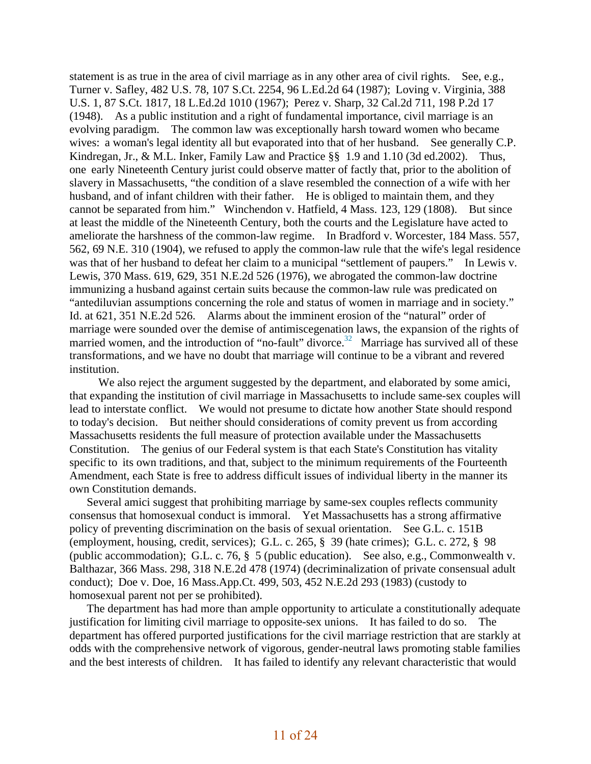statement is as true in the area of civil marriage as in any other area of civil rights. See, e.g., Turner v. Safley, 482 U.S. 78, 107 S.Ct. 2254, 96 L.Ed.2d 64 (1987); Loving v. Virginia, 388 U.S. 1, 87 S.Ct. 1817, 18 L.Ed.2d 1010 (1967); Perez v. Sharp, 32 Cal.2d 711, 198 P.2d 17 (1948). As a public institution and a right of fundamental importance, civil marriage is an evolving paradigm. The common law was exceptionally harsh toward women who became wives: a woman's legal identity all but evaporated into that of her husband. See generally C.P. Kindregan, Jr., & M.L. Inker, Family Law and Practice §§ 1.9 and 1.10 (3d ed.2002). Thus, one early Nineteenth Century jurist could observe matter of factly that, prior to the abolition of slavery in Massachusetts, "the condition of a slave resembled the connection of a wife with her husband, and of infant children with their father. He is obliged to maintain them, and they cannot be separated from him." Winchendon v. Hatfield, 4 Mass. 123, 129 (1808). But since at least the middle of the Nineteenth Century, both the courts and the Legislature have acted to ameliorate the harshness of the common-law regime. In Bradford v. Worcester, 184 Mass. 557, 562, 69 N.E. 310 (1904), we refused to apply the common-law rule that the wife's legal residence was that of her husband to defeat her claim to a municipal "settlement of paupers." In Lewis v. Lewis, 370 Mass. 619, 629, 351 N.E.2d 526 (1976), we abrogated the common-law doctrine immunizing a husband against certain suits because the common-law rule was predicated on "antediluvian assumptions concerning the role and status of women in marriage and in society." Id. at 621, 351 N.E.2d 526. Alarms about the imminent erosion of the "natural" order of marriage were sounded over the demise of antimiscegenation laws, the expansion of the rights of married women, and the introduction of "no-fault" divorce.<sup>32</sup> Marriage has survived all of these transformations, and we have no doubt that marriage will continue to be a vibrant and revered institution.

We also reject the argument suggested by the department, and elaborated by some amici, that expanding the institution of civil marriage in Massachusetts to include same-sex couples will lead to interstate conflict. We would not presume to dictate how another State should respond to today's decision. But neither should considerations of comity prevent us from according Massachusetts residents the full measure of protection available under the Massachusetts Constitution. The genius of our Federal system is that each State's Constitution has vitality specific to its own traditions, and that, subject to the minimum requirements of the Fourteenth Amendment, each State is free to address difficult issues of individual liberty in the manner its own Constitution demands.

Several amici suggest that prohibiting marriage by same-sex couples reflects community consensus that homosexual conduct is immoral. Yet Massachusetts has a strong affirmative policy of preventing discrimination on the basis of sexual orientation. See G.L. c. 151B (employment, housing, credit, services); G.L. c. 265, § 39 (hate crimes); G.L. c. 272, § 98 (public accommodation); G.L. c. 76, § 5 (public education). See also, e.g., Commonwealth v. Balthazar, 366 Mass. 298, 318 N.E.2d 478 (1974) (decriminalization of private consensual adult conduct); Doe v. Doe, 16 Mass.App.Ct. 499, 503, 452 N.E.2d 293 (1983) (custody to homosexual parent not per se prohibited).

The department has had more than ample opportunity to articulate a constitutionally adequate justification for limiting civil marriage to opposite-sex unions. It has failed to do so. The department has offered purported justifications for the civil marriage restriction that are starkly at odds with the comprehensive network of vigorous, gender-neutral laws promoting stable families and the best interests of children. It has failed to identify any relevant characteristic that would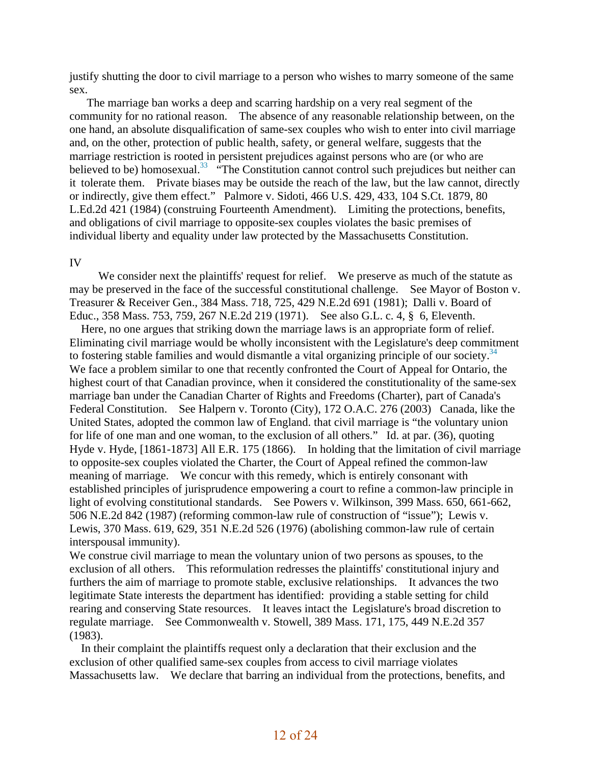justify shutting the door to civil marriage to a person who wishes to marry someone of the same sex.

The marriage ban works a deep and scarring hardship on a very real segment of the community for no rational reason. The absence of any reasonable relationship between, on the one hand, an absolute disqualification of same-sex couples who wish to enter into civil marriage and, on the other, protection of public health, safety, or general welfare, suggests that the marriage restriction is rooted in persistent prejudices against persons who are (or who are believed to be) homosexual.<sup>33</sup> "The Constitution cannot control such prejudices but neither can it tolerate them. Private biases may be outside the reach of the law, but the law cannot, directly or indirectly, give them effect." Palmore v. Sidoti, 466 U.S. 429, 433, 104 S.Ct. 1879, 80 L.Ed.2d 421 (1984) (construing Fourteenth Amendment). Limiting the protections, benefits, and obligations of civil marriage to opposite-sex couples violates the basic premises of individual liberty and equality under law protected by the Massachusetts Constitution.

#### IV

We consider next the plaintiffs' request for relief. We preserve as much of the statute as may be preserved in the face of the successful constitutional challenge. See Mayor of Boston v. Treasurer & Receiver Gen., 384 Mass. 718, 725, 429 N.E.2d 691 (1981); Dalli v. Board of Educ., 358 Mass. 753, 759, 267 N.E.2d 219 (1971). See also G.L. c. 4, § 6, Eleventh.

 Here, no one argues that striking down the marriage laws is an appropriate form of relief. Eliminating civil marriage would be wholly inconsistent with the Legislature's deep commitment to fostering stable families and would dismantle a vital organizing principle of our society.<sup>34</sup> We face a problem similar to one that recently confronted the Court of Appeal for Ontario, the highest court of that Canadian province, when it considered the constitutionality of the same-sex marriage ban under the Canadian Charter of Rights and Freedoms (Charter), part of Canada's Federal Constitution. See Halpern v. Toronto (City), 172 O.A.C. 276 (2003) Canada, like the United States, adopted the common law of England. that civil marriage is "the voluntary union for life of one man and one woman, to the exclusion of all others." Id. at par. (36), quoting Hyde v. Hyde, [1861-1873] All E.R. 175 (1866). In holding that the limitation of civil marriage to opposite-sex couples violated the Charter, the Court of Appeal refined the common-law meaning of marriage. We concur with this remedy, which is entirely consonant with established principles of jurisprudence empowering a court to refine a common-law principle in light of evolving constitutional standards. See Powers v. Wilkinson, 399 Mass. 650, 661-662, 506 N.E.2d 842 (1987) (reforming common-law rule of construction of "issue"); Lewis v. Lewis, 370 Mass. 619, 629, 351 N.E.2d 526 (1976) (abolishing common-law rule of certain interspousal immunity).

We construe civil marriage to mean the voluntary union of two persons as spouses, to the exclusion of all others. This reformulation redresses the plaintiffs' constitutional injury and furthers the aim of marriage to promote stable, exclusive relationships. It advances the two legitimate State interests the department has identified: providing a stable setting for child rearing and conserving State resources. It leaves intact the Legislature's broad discretion to regulate marriage. See Commonwealth v. Stowell, 389 Mass. 171, 175, 449 N.E.2d 357 (1983).

 In their complaint the plaintiffs request only a declaration that their exclusion and the exclusion of other qualified same-sex couples from access to civil marriage violates Massachusetts law. We declare that barring an individual from the protections, benefits, and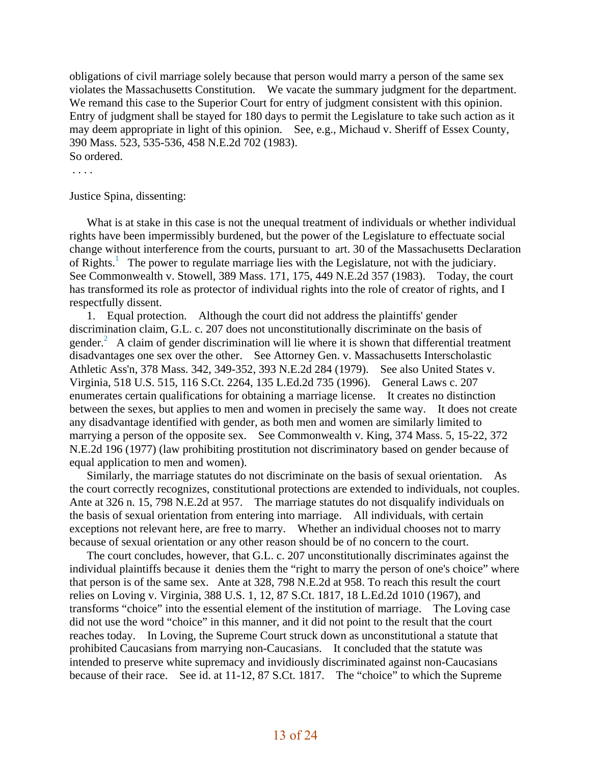obligations of civil marriage solely because that person would marry a person of the same sex violates the Massachusetts Constitution. We vacate the summary judgment for the department. We remand this case to the Superior Court for entry of judgment consistent with this opinion. Entry of judgment shall be stayed for 180 days to permit the Legislature to take such action as it may deem appropriate in light of this opinion. See, e.g., Michaud v. Sheriff of Essex County, 390 Mass. 523, 535-536, 458 N.E.2d 702 (1983). So ordered.

. . . .

Justice Spina, dissenting:

What is at stake in this case is not the unequal treatment of individuals or whether individual rights have been impermissibly burdened, but the power of the Legislature to effectuate social change without interference from the courts, pursuant to art. 30 of the Massachusetts Declaration of Rights.<sup>1</sup> The power to regulate marriage lies with the Legislature, not with the judiciary. See Commonwealth v. Stowell, 389 Mass. 171, 175, 449 N.E.2d 357 (1983). Today, the court has transformed its role as protector of individual rights into the role of creator of rights, and I respectfully dissent.

1. Equal protection. Although the court did not address the plaintiffs' gender discrimination claim, G.L. c. 207 does not unconstitutionally discriminate on the basis of gender.<sup>2</sup> A claim of gender discrimination will lie where it is shown that differential treatment disadvantages one sex over the other. See Attorney Gen. v. Massachusetts Interscholastic Athletic Ass'n, 378 Mass. 342, 349-352, 393 N.E.2d 284 (1979). See also United States v. Virginia, 518 U.S. 515, 116 S.Ct. 2264, 135 L.Ed.2d 735 (1996). General Laws c. 207 enumerates certain qualifications for obtaining a marriage license. It creates no distinction between the sexes, but applies to men and women in precisely the same way. It does not create any disadvantage identified with gender, as both men and women are similarly limited to marrying a person of the opposite sex. See Commonwealth v. King, 374 Mass. 5, 15-22, 372 N.E.2d 196 (1977) (law prohibiting prostitution not discriminatory based on gender because of equal application to men and women).

Similarly, the marriage statutes do not discriminate on the basis of sexual orientation. As the court correctly recognizes, constitutional protections are extended to individuals, not couples. Ante at 326 n. 15, 798 N.E.2d at 957. The marriage statutes do not disqualify individuals on the basis of sexual orientation from entering into marriage. All individuals, with certain exceptions not relevant here, are free to marry. Whether an individual chooses not to marry because of sexual orientation or any other reason should be of no concern to the court.

The court concludes, however, that G.L. c. 207 unconstitutionally discriminates against the individual plaintiffs because it denies them the "right to marry the person of one's choice" where that person is of the same sex. Ante at 328, 798 N.E.2d at 958. To reach this result the court relies on Loving v. Virginia, 388 U.S. 1, 12, 87 S.Ct. 1817, 18 L.Ed.2d 1010 (1967), and transforms "choice" into the essential element of the institution of marriage. The Loving case did not use the word "choice" in this manner, and it did not point to the result that the court reaches today. In Loving, the Supreme Court struck down as unconstitutional a statute that prohibited Caucasians from marrying non-Caucasians. It concluded that the statute was intended to preserve white supremacy and invidiously discriminated against non-Caucasians because of their race. See id. at 11-12, 87 S.Ct. 1817. The "choice" to which the Supreme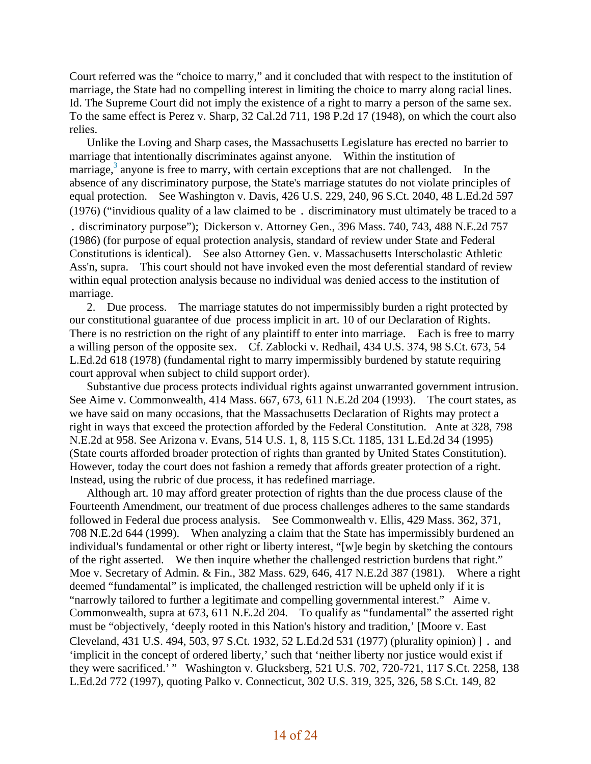Court referred was the "choice to marry," and it concluded that with respect to the institution of marriage, the State had no compelling interest in limiting the choice to marry along racial lines. Id. The Supreme Court did not imply the existence of a right to marry a person of the same sex. To the same effect is Perez v. Sharp, 32 Cal.2d 711, 198 P.2d 17 (1948), on which the court also relies.

Unlike the Loving and Sharp cases, the Massachusetts Legislature has erected no barrier to marriage that intentionally discriminates against anyone. Within the institution of marriage, $3$  anyone is free to marry, with certain exceptions that are not challenged. In the absence of any discriminatory purpose, the State's marriage statutes do not violate principles of equal protection. See Washington v. Davis, 426 U.S. 229, 240, 96 S.Ct. 2040, 48 L.Ed.2d 597 (1976) ("invidious quality of a law claimed to be. discriminatory must ultimately be traced to a discriminatory purpose"); Dickerson v. Attorney Gen., 396 Mass. 740, 743, 488 N.E.2d 757 (1986) (for purpose of equal protection analysis, standard of review under State and Federal Constitutions is identical). See also Attorney Gen. v. Massachusetts Interscholastic Athletic Ass'n, supra. This court should not have invoked even the most deferential standard of review within equal protection analysis because no individual was denied access to the institution of marriage.

2. Due process. The marriage statutes do not impermissibly burden a right protected by our constitutional guarantee of due process implicit in art. 10 of our Declaration of Rights. There is no restriction on the right of any plaintiff to enter into marriage. Each is free to marry a willing person of the opposite sex. Cf. Zablocki v. Redhail, 434 U.S. 374, 98 S.Ct. 673, 54 L.Ed.2d 618 (1978) (fundamental right to marry impermissibly burdened by statute requiring court approval when subject to child support order).

Substantive due process protects individual rights against unwarranted government intrusion. See Aime v. Commonwealth, 414 Mass. 667, 673, 611 N.E.2d 204 (1993). The court states, as we have said on many occasions, that the Massachusetts Declaration of Rights may protect a right in ways that exceed the protection afforded by the Federal Constitution. Ante at 328, 798 N.E.2d at 958. See Arizona v. Evans, 514 U.S. 1, 8, 115 S.Ct. 1185, 131 L.Ed.2d 34 (1995) (State courts afforded broader protection of rights than granted by United States Constitution). However, today the court does not fashion a remedy that affords greater protection of a right. Instead, using the rubric of due process, it has redefined marriage.

Although art. 10 may afford greater protection of rights than the due process clause of the Fourteenth Amendment, our treatment of due process challenges adheres to the same standards followed in Federal due process analysis. See Commonwealth v. Ellis, 429 Mass. 362, 371, 708 N.E.2d 644 (1999). When analyzing a claim that the State has impermissibly burdened an individual's fundamental or other right or liberty interest, "[w]e begin by sketching the contours of the right asserted. We then inquire whether the challenged restriction burdens that right." Moe v. Secretary of Admin. & Fin., 382 Mass. 629, 646, 417 N.E.2d 387 (1981). Where a right deemed "fundamental" is implicated, the challenged restriction will be upheld only if it is "narrowly tailored to further a legitimate and compelling governmental interest." Aime v. Commonwealth, supra at 673, 611 N.E.2d 204. To qualify as "fundamental" the asserted right must be "objectively, 'deeply rooted in this Nation's history and tradition,' [Moore v. East Cleveland, 431 U.S. 494, 503, 97 S.Ct. 1932, 52 L.Ed.2d 531 (1977) (plurality opinion) ] and 'implicit in the concept of ordered liberty,' such that 'neither liberty nor justice would exist if they were sacrificed.'" Washington v. Glucksberg, 521 U.S. 702, 720-721, 117 S.Ct. 2258, 138 L.Ed.2d 772 (1997), quoting Palko v. Connecticut, 302 U.S. 319, 325, 326, 58 S.Ct. 149, 82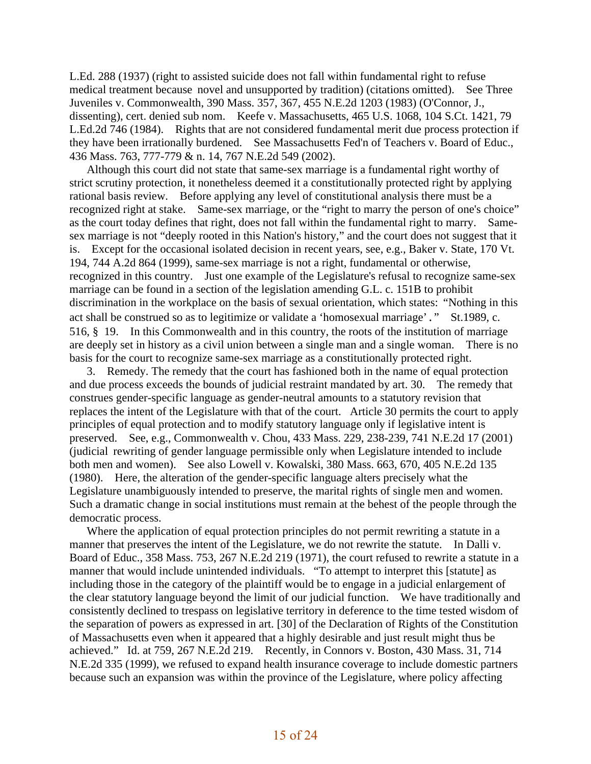L.Ed. 288 (1937) (right to assisted suicide does not fall within fundamental right to refuse medical treatment because novel and unsupported by tradition) (citations omitted). See Three Juveniles v. Commonwealth, 390 Mass. 357, 367, 455 N.E.2d 1203 (1983) (O'Connor, J., dissenting), cert. denied sub nom. Keefe v. Massachusetts, 465 U.S. 1068, 104 S.Ct. 1421, 79 L.Ed.2d 746 (1984). Rights that are not considered fundamental merit due process protection if they have been irrationally burdened. See Massachusetts Fed'n of Teachers v. Board of Educ., 436 Mass. 763, 777-779 & n. 14, 767 N.E.2d 549 (2002).

Although this court did not state that same-sex marriage is a fundamental right worthy of strict scrutiny protection, it nonetheless deemed it a constitutionally protected right by applying rational basis review. Before applying any level of constitutional analysis there must be a recognized right at stake. Same-sex marriage, or the "right to marry the person of one's choice" as the court today defines that right, does not fall within the fundamental right to marry. Samesex marriage is not "deeply rooted in this Nation's history," and the court does not suggest that it is. Except for the occasional isolated decision in recent years, see, e.g., Baker v. State, 170 Vt. 194, 744 A.2d 864 (1999), same-sex marriage is not a right, fundamental or otherwise, recognized in this country. Just one example of the Legislature's refusal to recognize same-sex marriage can be found in a section of the legislation amending G.L. c. 151B to prohibit discrimination in the workplace on the basis of sexual orientation, which states: "Nothing in this act shall be construed so as to legitimize or validate a 'homosexual marriage'." St.1989, c. 516, § 19. In this Commonwealth and in this country, the roots of the institution of marriage are deeply set in history as a civil union between a single man and a single woman. There is no basis for the court to recognize same-sex marriage as a constitutionally protected right.

3. Remedy. The remedy that the court has fashioned both in the name of equal protection and due process exceeds the bounds of judicial restraint mandated by art. 30. The remedy that construes gender-specific language as gender-neutral amounts to a statutory revision that replaces the intent of the Legislature with that of the court. Article 30 permits the court to apply principles of equal protection and to modify statutory language only if legislative intent is preserved. See, e.g., Commonwealth v. Chou, 433 Mass. 229, 238-239, 741 N.E.2d 17 (2001) (judicial rewriting of gender language permissible only when Legislature intended to include both men and women). See also Lowell v. Kowalski, 380 Mass. 663, 670, 405 N.E.2d 135 (1980). Here, the alteration of the gender-specific language alters precisely what the Legislature unambiguously intended to preserve, the marital rights of single men and women. Such a dramatic change in social institutions must remain at the behest of the people through the democratic process.

Where the application of equal protection principles do not permit rewriting a statute in a manner that preserves the intent of the Legislature, we do not rewrite the statute. In Dalli v. Board of Educ., 358 Mass. 753, 267 N.E.2d 219 (1971), the court refused to rewrite a statute in a manner that would include unintended individuals. "To attempt to interpret this [statute] as including those in the category of the plaintiff would be to engage in a judicial enlargement of the clear statutory language beyond the limit of our judicial function. We have traditionally and consistently declined to trespass on legislative territory in deference to the time tested wisdom of the separation of powers as expressed in art. [30] of the Declaration of Rights of the Constitution of Massachusetts even when it appeared that a highly desirable and just result might thus be achieved." Id. at 759, 267 N.E.2d 219. Recently, in Connors v. Boston, 430 Mass. 31, 714 N.E.2d 335 (1999), we refused to expand health insurance coverage to include domestic partners because such an expansion was within the province of the Legislature, where policy affecting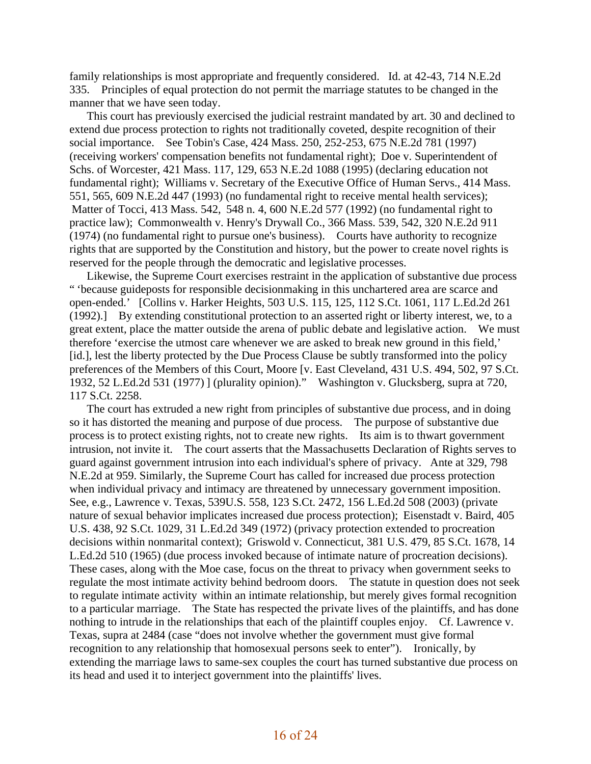family relationships is most appropriate and frequently considered. Id. at 42-43, 714 N.E.2d 335. Principles of equal protection do not permit the marriage statutes to be changed in the manner that we have seen today.

This court has previously exercised the judicial restraint mandated by art. 30 and declined to extend due process protection to rights not traditionally coveted, despite recognition of their social importance. See Tobin's Case, 424 Mass. 250, 252-253, 675 N.E.2d 781 (1997) (receiving workers' compensation benefits not fundamental right); Doe v. Superintendent of Schs. of Worcester, 421 Mass. 117, 129, 653 N.E.2d 1088 (1995) (declaring education not fundamental right); Williams v. Secretary of the Executive Office of Human Servs., 414 Mass. 551, 565, 609 N.E.2d 447 (1993) (no fundamental right to receive mental health services); Matter of Tocci, 413 Mass. 542, 548 n. 4, 600 N.E.2d 577 (1992) (no fundamental right to practice law); Commonwealth v. Henry's Drywall Co., 366 Mass. 539, 542, 320 N.E.2d 911 (1974) (no fundamental right to pursue one's business). Courts have authority to recognize rights that are supported by the Constitution and history, but the power to create novel rights is reserved for the people through the democratic and legislative processes.

Likewise, the Supreme Court exercises restraint in the application of substantive due process " 'because guideposts for responsible decisionmaking in this unchartered area are scarce and open-ended.' [Collins v. Harker Heights, 503 U.S. 115, 125, 112 S.Ct. 1061, 117 L.Ed.2d 261 (1992).] By extending constitutional protection to an asserted right or liberty interest, we, to a great extent, place the matter outside the arena of public debate and legislative action. We must therefore 'exercise the utmost care whenever we are asked to break new ground in this field,' [id.], lest the liberty protected by the Due Process Clause be subtly transformed into the policy preferences of the Members of this Court, Moore [v. East Cleveland, 431 U.S. 494, 502, 97 S.Ct. 1932, 52 L.Ed.2d 531 (1977) ] (plurality opinion)." Washington v. Glucksberg, supra at 720, 117 S.Ct. 2258.

The court has extruded a new right from principles of substantive due process, and in doing so it has distorted the meaning and purpose of due process. The purpose of substantive due process is to protect existing rights, not to create new rights. Its aim is to thwart government intrusion, not invite it. The court asserts that the Massachusetts Declaration of Rights serves to guard against government intrusion into each individual's sphere of privacy. Ante at 329, 798 N.E.2d at 959. Similarly, the Supreme Court has called for increased due process protection when individual privacy and intimacy are threatened by unnecessary government imposition. See, e.g., Lawrence v. Texas, 539U.S. 558, 123 S.Ct. 2472, 156 L.Ed.2d 508 (2003) (private nature of sexual behavior implicates increased due process protection); Eisenstadt v. Baird, 405 U.S. 438, 92 S.Ct. 1029, 31 L.Ed.2d 349 (1972) (privacy protection extended to procreation decisions within nonmarital context); Griswold v. Connecticut, 381 U.S. 479, 85 S.Ct. 1678, 14 L.Ed.2d 510 (1965) (due process invoked because of intimate nature of procreation decisions). These cases, along with the Moe case, focus on the threat to privacy when government seeks to regulate the most intimate activity behind bedroom doors. The statute in question does not seek to regulate intimate activity within an intimate relationship, but merely gives formal recognition to a particular marriage. The State has respected the private lives of the plaintiffs, and has done nothing to intrude in the relationships that each of the plaintiff couples enjoy. Cf. Lawrence v. Texas, supra at 2484 (case "does not involve whether the government must give formal recognition to any relationship that homosexual persons seek to enter"). Ironically, by extending the marriage laws to same-sex couples the court has turned substantive due process on its head and used it to interject government into the plaintiffs' lives.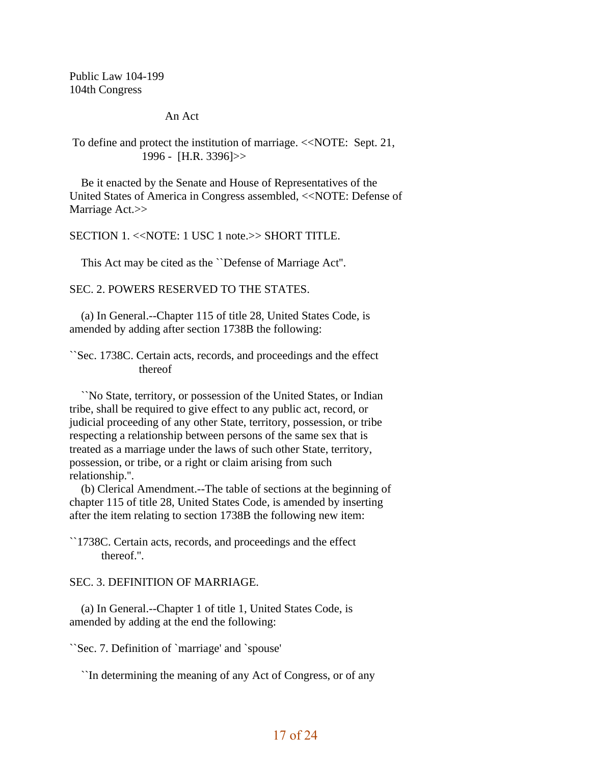Public Law 104-199 104th Congress

An Act

#### To define and protect the institution of marriage. <<NOTE: Sept. 21, 1996 - [H.R. 3396]>>

 Be it enacted by the Senate and House of Representatives of the United States of America in Congress assembled, <<NOTE: Defense of Marriage Act.>>

SECTION 1. <<NOTE: 1 USC 1 note.>> SHORT TITLE.

This Act may be cited as the ``Defense of Marriage Act''.

SEC. 2. POWERS RESERVED TO THE STATES.

 (a) In General.--Chapter 115 of title 28, United States Code, is amended by adding after section 1738B the following:

``Sec. 1738C. Certain acts, records, and proceedings and the effect thereof

 ``No State, territory, or possession of the United States, or Indian tribe, shall be required to give effect to any public act, record, or judicial proceeding of any other State, territory, possession, or tribe respecting a relationship between persons of the same sex that is treated as a marriage under the laws of such other State, territory, possession, or tribe, or a right or claim arising from such relationship.''.

 (b) Clerical Amendment.--The table of sections at the beginning of chapter 115 of title 28, United States Code, is amended by inserting after the item relating to section 1738B the following new item:

``1738C. Certain acts, records, and proceedings and the effect thereof.''.

#### SEC. 3. DEFINITION OF MARRIAGE.

 (a) In General.--Chapter 1 of title 1, United States Code, is amended by adding at the end the following:

``Sec. 7. Definition of `marriage' and `spouse'

``In determining the meaning of any Act of Congress, or of any

#### 17 of 24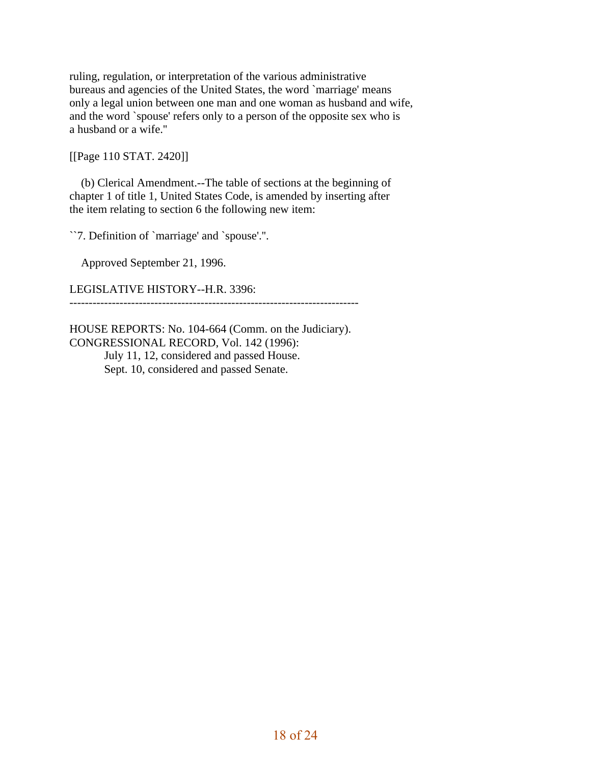ruling, regulation, or interpretation of the various administrative bureaus and agencies of the United States, the word `marriage' means only a legal union between one man and one woman as husband and wife, and the word `spouse' refers only to a person of the opposite sex who is a husband or a wife.''

[[Page 110 STAT. 2420]]

 (b) Clerical Amendment.--The table of sections at the beginning of chapter 1 of title 1, United States Code, is amended by inserting after the item relating to section 6 the following new item:

``7. Definition of `marriage' and `spouse'.''.

Approved September 21, 1996.

LEGISLATIVE HISTORY--H.R. 3396:

HOUSE REPORTS: No. 104-664 (Comm. on the Judiciary). CONGRESSIONAL RECORD, Vol. 142 (1996): July 11, 12, considered and passed House. Sept. 10, considered and passed Senate.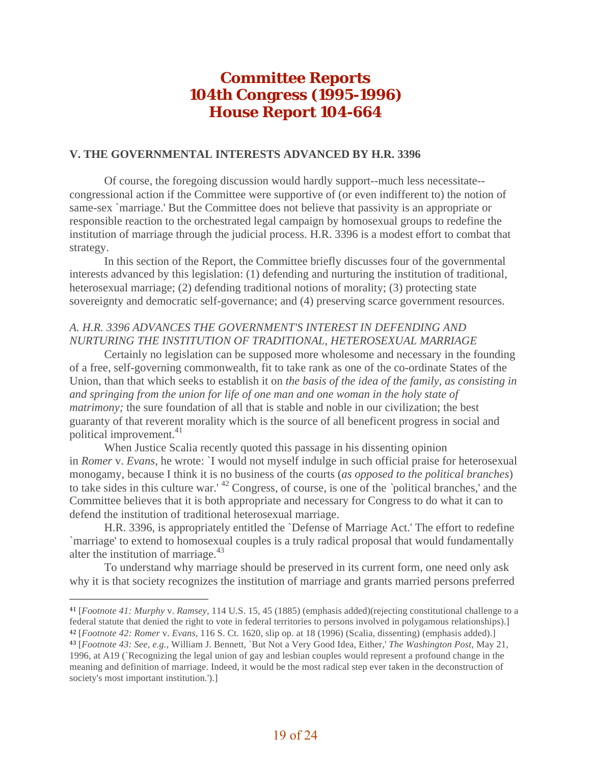## **Committee Reports 104th Congress (1995-1996) House Report 104-664**

#### **V. THE GOVERNMENTAL INTERESTS ADVANCED BY H.R. 3396**

Of course, the foregoing discussion would hardly support--much less necessitate- congressional action if the Committee were supportive of (or even indifferent to) the notion of same-sex `marriage.' But the Committee does not believe that passivity is an appropriate or responsible reaction to the orchestrated legal campaign by homosexual groups to redefine the institution of marriage through the judicial process. H.R. 3396 is a modest effort to combat that strategy.

In this section of the Report, the Committee briefly discusses four of the governmental interests advanced by this legislation: (1) defending and nurturing the institution of traditional, heterosexual marriage; (2) defending traditional notions of morality; (3) protecting state sovereignty and democratic self-governance; and (4) preserving scarce government resources.

#### *A. H.R. 3396 ADVANCES THE GOVERNMENT'S INTEREST IN DEFENDING AND NURTURING THE INSTITUTION OF TRADITIONAL, HETEROSEXUAL MARRIAGE*

Certainly no legislation can be supposed more wholesome and necessary in the founding of a free, self-governing commonwealth, fit to take rank as one of the co-ordinate States of the Union, than that which seeks to establish it on *the basis of the idea of the family, as consisting in and springing from the union for life of one man and one woman in the holy state of matrimony;* the sure foundation of all that is stable and noble in our civilization; the best guaranty of that reverent morality which is the source of all beneficent progress in social and political improvement. $41$ 

When Justice Scalia recently quoted this passage in his dissenting opinion in *Romer* v. *Evans,* he wrote: `I would not myself indulge in such official praise for heterosexual monogamy, because I think it is no business of the courts (*as opposed to the political branches*) to take sides in this culture war.' 42 Congress, of course, is one of the *`*political branches,' and the Committee believes that it is both appropriate and necessary for Congress to do what it can to defend the institution of traditional heterosexual marriage.

H.R. 3396, is appropriately entitled the `Defense of Marriage Act.' The effort to redefine `marriage' to extend to homosexual couples is a truly radical proposal that would fundamentally alter the institution of marriage. $43$ 

To understand why marriage should be preserved in its current form, one need only ask why it is that society recognizes the institution of marriage and grants married persons preferred

<sup>-</sup> [*Footnote 41: Murphy* v. *Ramsey,* 114 U.S. 15, 45 (1885) (emphasis added)(rejecting constitutional challenge to a federal statute that denied the right to vote in federal territories to persons involved in polygamous relationships).] [*Footnote 42: Romer* v. *Evans,* 116 S. Ct. 1620, slip op. at 18 (1996) (Scalia, dissenting) (emphasis added).]

[*Footnote 43: See, e.g.,* William J. Bennett, `But Not a Very Good Idea, Either,' *The Washington Post,* May 21, 1996, at A19 (`Recognizing the legal union of gay and lesbian couples would represent a profound change in the meaning and definition of marriage. Indeed, it would be the most radical step ever taken in the deconstruction of society's most important institution.').]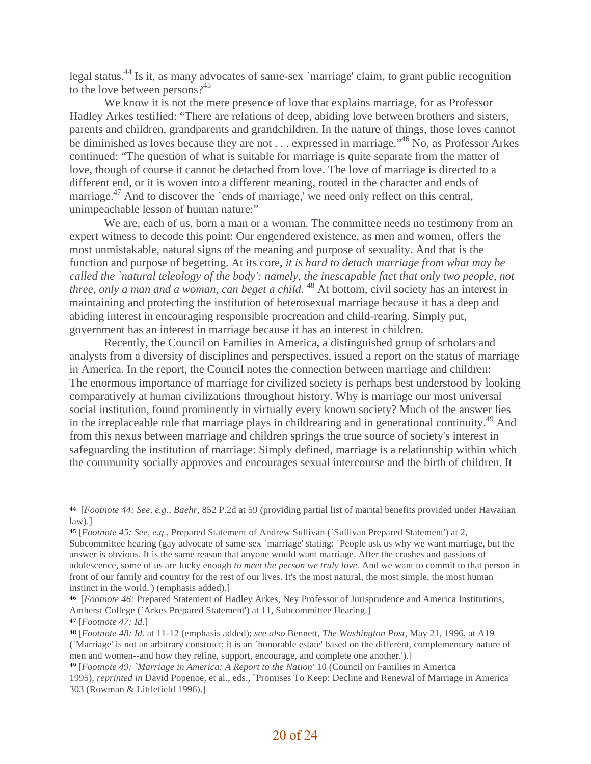legal status.44 Is it, as many advocates of same-sex `marriage' claim, to grant public recognition to the love between persons?<sup>45</sup>

We know it is not the mere presence of love that explains marriage, for as Professor Hadley Arkes testified: "There are relations of deep, abiding love between brothers and sisters, parents and children, grandparents and grandchildren. In the nature of things, those loves cannot be diminished as loves because they are not . . . expressed in marriage."<sup>46</sup> No, as Professor Arkes continued: "The question of what is suitable for marriage is quite separate from the matter of love, though of course it cannot be detached from love. The love of marriage is directed to a different end, or it is woven into a different meaning, rooted in the character and ends of marriage.<sup>47</sup> And to discover the `ends of marriage,' we need only reflect on this central, unimpeachable lesson of human nature:"

We are, each of us, born a man or a woman. The committee needs no testimony from an expert witness to decode this point: Our engendered existence, as men and women, offers the most unmistakable, natural signs of the meaning and purpose of sexuality. And that is the function and purpose of begetting. At its core, *it is hard to detach marriage from what may be called the `natural teleology of the body': namely, the inescapable fact that only two people, not three, only a man and a woman, can beget a child.* <sup>48</sup> At bottom, civil society has an interest in maintaining and protecting the institution of heterosexual marriage because it has a deep and abiding interest in encouraging responsible procreation and child-rearing. Simply put, government has an interest in marriage because it has an interest in children.

Recently, the Council on Families in America, a distinguished group of scholars and analysts from a diversity of disciplines and perspectives, issued a report on the status of marriage in America. In the report, the Council notes the connection between marriage and children: The enormous importance of marriage for civilized society is perhaps best understood by looking comparatively at human civilizations throughout history. Why is marriage our most universal social institution, found prominently in virtually every known society? Much of the answer lies in the irreplaceable role that marriage plays in childrearing and in generational continuity.<sup>49</sup> And from this nexus between marriage and children springs the true source of society's interest in safeguarding the institution of marriage: Simply defined, marriage is a relationship within which the community socially approves and encourages sexual intercourse and the birth of children. It

<sup>-</sup>- [*Footnote 44: See, e.g., Baehr,* 852 P.2d at 59 (providing partial list of marital benefits provided under Hawaiian  $law$ ). $l$ 

<sup>-</sup> [*Footnote 45: See, e.g.,* Prepared Statement of Andrew Sullivan (`Sullivan Prepared Statement') at 2, Subcommittee hearing (gay advocate of same-sex `marriage' stating: `People ask us why we want marriage, but the answer is obvious. It is the same reason that anyone would want marriage. After the crushes and passions of adolescence, some of us are lucky enough *to meet the person we truly love.* And we want to commit to that person in front of our family and country for the rest of our lives. It's the most natural, the most simple, the most human instinct in the world.') (emphasis added).]

<sup>-</sup> [*Footnote 46:* Prepared Statement of Hadley Arkes, Ney Professor of Jurisprudence and America Institutions, Amherst College (`Arkes Prepared Statement') at 11, Subcommittee Hearing.]

<sup>-</sup> [*Footnote 47: Id.*]

<sup>-</sup> [*Footnote 48: Id.* at 11-12 (emphasis added); *see also* Bennett, *The Washington Post,* May 21, 1996, at A19 (`Marriage' is not an arbitrary construct; it is an `honorable estate' based on the different, complementary nature of men and women--and how they refine, support, encourage, and complete one another.').]

<sup>-</sup> [*Footnote 49: `Marriage in America: A Report to the Nation'* 10 (Council on Families in America 1995), *reprinted in* David Popenoe, et al., eds., `Promises To Keep: Decline and Renewal of Marriage in America'

<sup>303 (</sup>Rowman & Littlefield 1996).]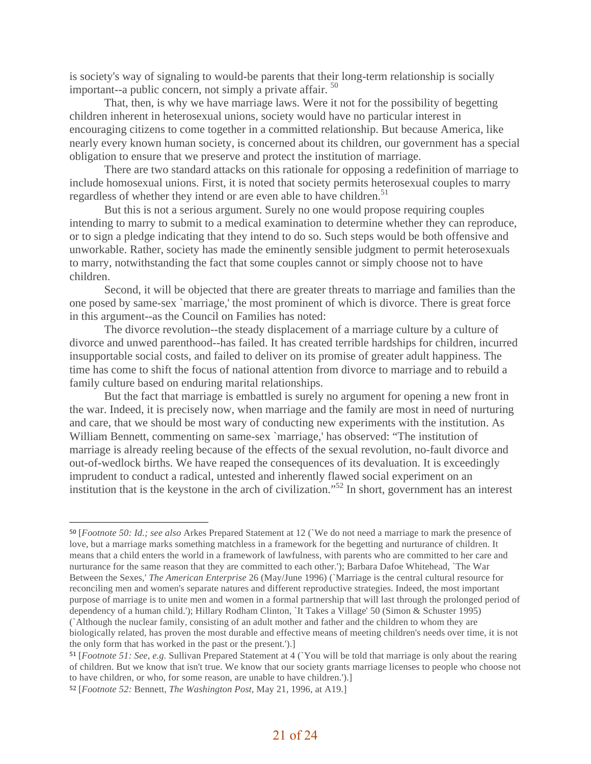is society's way of signaling to would-be parents that their long-term relationship is socially important--a public concern, not simply a private affair.<sup>50</sup>

That, then, is why we have marriage laws. Were it not for the possibility of begetting children inherent in heterosexual unions, society would have no particular interest in encouraging citizens to come together in a committed relationship. But because America, like nearly every known human society, is concerned about its children, our government has a special obligation to ensure that we preserve and protect the institution of marriage.

There are two standard attacks on this rationale for opposing a redefinition of marriage to include homosexual unions. First, it is noted that society permits heterosexual couples to marry regardless of whether they intend or are even able to have children.<sup>51</sup>

But this is not a serious argument. Surely no one would propose requiring couples intending to marry to submit to a medical examination to determine whether they can reproduce, or to sign a pledge indicating that they intend to do so. Such steps would be both offensive and unworkable. Rather, society has made the eminently sensible judgment to permit heterosexuals to marry, notwithstanding the fact that some couples cannot or simply choose not to have children.

Second, it will be objected that there are greater threats to marriage and families than the one posed by same-sex `marriage,' the most prominent of which is divorce. There is great force in this argument--as the Council on Families has noted:

The divorce revolution--the steady displacement of a marriage culture by a culture of divorce and unwed parenthood--has failed. It has created terrible hardships for children, incurred insupportable social costs, and failed to deliver on its promise of greater adult happiness. The time has come to shift the focus of national attention from divorce to marriage and to rebuild a family culture based on enduring marital relationships.

But the fact that marriage is embattled is surely no argument for opening a new front in the war. Indeed, it is precisely now, when marriage and the family are most in need of nurturing and care, that we should be most wary of conducting new experiments with the institution. As William Bennett, commenting on same-sex `marriage,' has observed: "The institution of marriage is already reeling because of the effects of the sexual revolution, no-fault divorce and out-of-wedlock births. We have reaped the consequences of its devaluation. It is exceedingly imprudent to conduct a radical, untested and inherently flawed social experiment on an institution that is the keystone in the arch of civilization."52 In short, government has an interest

<sup>-</sup> [*Footnote 50: Id.; see also* Arkes Prepared Statement at 12 (`We do not need a marriage to mark the presence of love, but a marriage marks something matchless in a framework for the begetting and nurturance of children. It means that a child enters the world in a framework of lawfulness, with parents who are committed to her care and nurturance for the same reason that they are committed to each other.'); Barbara Dafoe Whitehead, `The War Between the Sexes,' *The American Enterprise* 26 (May/June 1996) (`Marriage is the central cultural resource for reconciling men and women's separate natures and different reproductive strategies. Indeed, the most important purpose of marriage is to unite men and women in a formal partnership that will last through the prolonged period of dependency of a human child.'); Hillary Rodham Clinton, `It Takes a Village' 50 (Simon & Schuster 1995) (`Although the nuclear family, consisting of an adult mother and father and the children to whom they are biologically related, has proven the most durable and effective means of meeting children's needs over time, it is not the only form that has worked in the past or the present.').]

[*Footnote 51: See, e.g.* Sullivan Prepared Statement at 4 (`You will be told that marriage is only about the rearing of children. But we know that isn't true. We know that our society grants marriage licenses to people who choose not to have children, or who, for some reason, are unable to have children.').]

[*Footnote 52:* Bennett, *The Washington Post,* May 21, 1996, at A19.]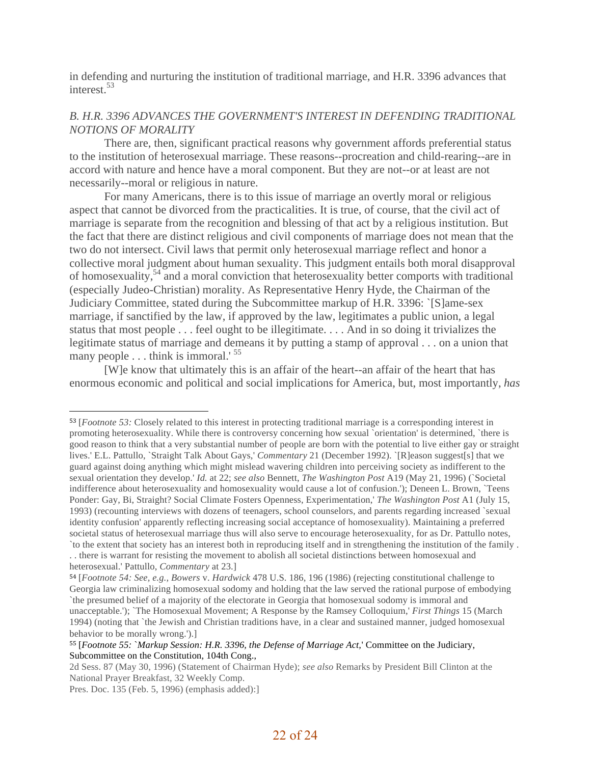in defending and nurturing the institution of traditional marriage, and H.R. 3396 advances that interest.<sup>53</sup>

#### *B. H.R. 3396 ADVANCES THE GOVERNMENT'S INTEREST IN DEFENDING TRADITIONAL NOTIONS OF MORALITY*

There are, then, significant practical reasons why government affords preferential status to the institution of heterosexual marriage. These reasons--procreation and child-rearing--are in accord with nature and hence have a moral component. But they are not--or at least are not necessarily--moral or religious in nature.

For many Americans, there is to this issue of marriage an overtly moral or religious aspect that cannot be divorced from the practicalities. It is true, of course, that the civil act of marriage is separate from the recognition and blessing of that act by a religious institution. But the fact that there are distinct religious and civil components of marriage does not mean that the two do not intersect. Civil laws that permit only heterosexual marriage reflect and honor a collective moral judgment about human sexuality. This judgment entails both moral disapproval of homosexuality,54 and a moral conviction that heterosexuality better comports with traditional (especially Judeo-Christian) morality. As Representative Henry Hyde, the Chairman of the Judiciary Committee, stated during the Subcommittee markup of H.R. 3396: `[S]ame-sex marriage, if sanctified by the law, if approved by the law, legitimates a public union, a legal status that most people . . . feel ought to be illegitimate. . . . And in so doing it trivializes the legitimate status of marriage and demeans it by putting a stamp of approval . . . on a union that many people  $\dots$  think is immoral.'  $55$ 

 [W]e know that ultimately this is an affair of the heart--an affair of the heart that has enormous economic and political and social implications for America, but, most importantly, *has* 

<sup>-</sup> [*Footnote 53:* Closely related to this interest in protecting traditional marriage is a corresponding interest in promoting heterosexuality. While there is controversy concerning how sexual `orientation' is determined, `there is good reason to think that a very substantial number of people are born with the potential to live either gay or straight lives.' E.L. Pattullo, `Straight Talk About Gays,' *Commentary* 21 (December 1992). `[R]eason suggest[s] that we guard against doing anything which might mislead wavering children into perceiving society as indifferent to the sexual orientation they develop.' *Id.* at 22; *see also* Bennett, *The Washington Post* A19 (May 21, 1996) (`Societal indifference about heterosexuality and homosexuality would cause a lot of confusion.'); Deneen L. Brown, `Teens Ponder: Gay, Bi, Straight? Social Climate Fosters Openness, Experimentation,' *The Washington Post* A1 (July 15, 1993) (recounting interviews with dozens of teenagers, school counselors, and parents regarding increased `sexual identity confusion' apparently reflecting increasing social acceptance of homosexuality). Maintaining a preferred societal status of heterosexual marriage thus will also serve to encourage heterosexuality, for as Dr. Pattullo notes, `to the extent that society has an interest both in reproducing itself and in strengthening the institution of the family .

<sup>. .</sup> there is warrant for resisting the movement to abolish all societal distinctions between homosexual and heterosexual.' Pattullo, *Commentary* at 23.]

[*Footnote 54: See, e.g., Bowers* v. *Hardwick* 478 U.S. 186, 196 (1986) (rejecting constitutional challenge to Georgia law criminalizing homosexual sodomy and holding that the law served the rational purpose of embodying `the presumed belief of a majority of the electorate in Georgia that homosexual sodomy is immoral and unacceptable.'); `The Homosexual Movement; A Response by the Ramsey Colloquium,' *First Things* 15 (March 1994) (noting that `the Jewish and Christian traditions have, in a clear and sustained manner, judged homosexual behavior to be morally wrong.').]

[*Footnote 55:* `*Markup Session: H.R. 3396, the Defense of Marriage Act,*' Committee on the Judiciary, Subcommittee on the Constitution, 104th Cong.,

<sup>2</sup>d Sess. 87 (May 30, 1996) (Statement of Chairman Hyde); *see also* Remarks by President Bill Clinton at the National Prayer Breakfast, 32 Weekly Comp.

Pres. Doc. 135 (Feb. 5, 1996) (emphasis added):]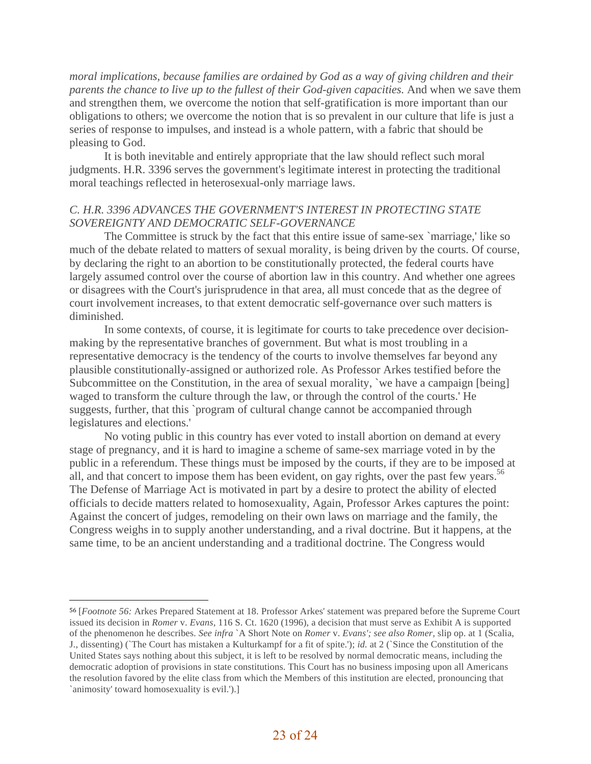*moral implications, because families are ordained by God as a way of giving children and their parents the chance to live up to the fullest of their God-given capacities.* And when we save them and strengthen them, we overcome the notion that self-gratification is more important than our obligations to others; we overcome the notion that is so prevalent in our culture that life is just a series of response to impulses, and instead is a whole pattern, with a fabric that should be pleasing to God.

It is both inevitable and entirely appropriate that the law should reflect such moral judgments. H.R. 3396 serves the government's legitimate interest in protecting the traditional moral teachings reflected in heterosexual-only marriage laws.

#### *C. H.R. 3396 ADVANCES THE GOVERNMENT'S INTEREST IN PROTECTING STATE SOVEREIGNTY AND DEMOCRATIC SELF-GOVERNANCE*

The Committee is struck by the fact that this entire issue of same-sex `marriage,' like so much of the debate related to matters of sexual morality, is being driven by the courts. Of course, by declaring the right to an abortion to be constitutionally protected, the federal courts have largely assumed control over the course of abortion law in this country. And whether one agrees or disagrees with the Court's jurisprudence in that area, all must concede that as the degree of court involvement increases, to that extent democratic self-governance over such matters is diminished.

In some contexts, of course, it is legitimate for courts to take precedence over decisionmaking by the representative branches of government. But what is most troubling in a representative democracy is the tendency of the courts to involve themselves far beyond any plausible constitutionally-assigned or authorized role. As Professor Arkes testified before the Subcommittee on the Constitution, in the area of sexual morality, 'we have a campaign [being] waged to transform the culture through the law, or through the control of the courts.' He suggests, further, that this `program of cultural change cannot be accompanied through legislatures and elections.'

No voting public in this country has ever voted to install abortion on demand at every stage of pregnancy, and it is hard to imagine a scheme of same-sex marriage voted in by the public in a referendum. These things must be imposed by the courts, if they are to be imposed at all, and that concert to impose them has been evident, on gay rights, over the past few years.<sup>56</sup> The Defense of Marriage Act is motivated in part by a desire to protect the ability of elected officials to decide matters related to homosexuality, Again, Professor Arkes captures the point: Against the concert of judges, remodeling on their own laws on marriage and the family, the Congress weighs in to supply another understanding, and a rival doctrine. But it happens, at the same time, to be an ancient understanding and a traditional doctrine. The Congress would

<sup>-</sup> [*Footnote 56:* Arkes Prepared Statement at 18. Professor Arkes' statement was prepared before the Supreme Court issued its decision in *Romer* v. *Evans,* 116 S. Ct. 1620 (1996), a decision that must serve as Exhibit A is supported of the phenomenon he describes. *See infra* `A Short Note on *Romer* v. *Evans'; see also Romer,* slip op. at 1 (Scalia, J., dissenting) (`The Court has mistaken a Kulturkampf for a fit of spite.'); *id.* at 2 (`Since the Constitution of the United States says nothing about this subject, it is left to be resolved by normal democratic means, including the democratic adoption of provisions in state constitutions. This Court has no business imposing upon all Americans the resolution favored by the elite class from which the Members of this institution are elected, pronouncing that `animosity' toward homosexuality is evil.').]